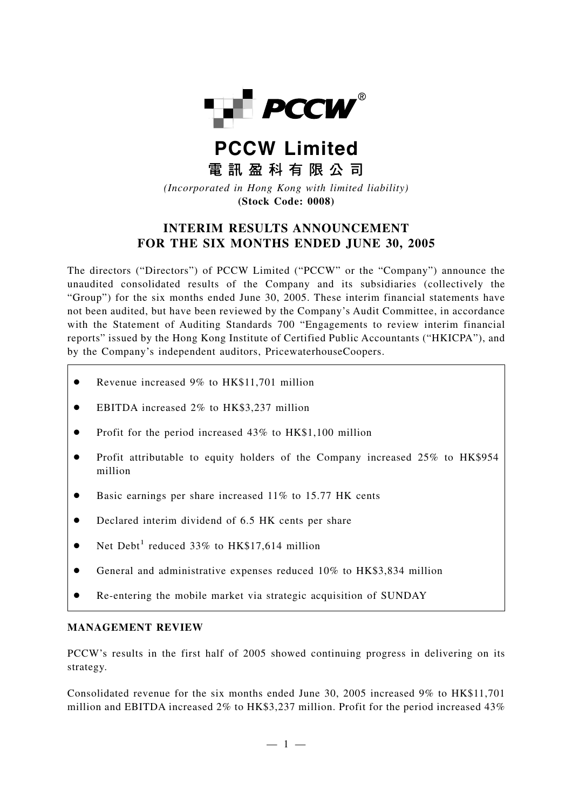

# **PCCW Limited** 雷訊盈科有限公司

*(Incorporated in Hong Kong with limited liability)* **(Stock Code: 0008)**

# **INTERIM RESULTS ANNOUNCEMENT FOR THE SIX MONTHS ENDED JUNE 30, 2005**

The directors ("Directors") of PCCW Limited ("PCCW" or the "Company") announce the unaudited consolidated results of the Company and its subsidiaries (collectively the "Group") for the six months ended June 30, 2005. These interim financial statements have not been audited, but have been reviewed by the Company's Audit Committee, in accordance with the Statement of Auditing Standards 700 "Engagements to review interim financial reports" issued by the Hong Kong Institute of Certified Public Accountants ("HKICPA"), and by the Company's independent auditors, PricewaterhouseCoopers.

- Revenue increased 9% to HK\$11,701 million
- EBITDA increased 2\% to HK\$3,237 million
- Profit for the period increased 43% to HK\$1,100 million
- Profit attributable to equity holders of the Company increased 25% to HK\$954 million
- Basic earnings per share increased 11% to 15.77 HK cents
- Declared interim dividend of 6.5 HK cents per share
- Net Debt<sup>1</sup> reduced 33% to HK\$17,614 million
- General and administrative expenses reduced 10% to HK\$3,834 million
- Re-entering the mobile market via strategic acquisition of SUNDAY

# **MANAGEMENT REVIEW**

PCCW's results in the first half of 2005 showed continuing progress in delivering on its strategy.

Consolidated revenue for the six months ended June 30, 2005 increased 9% to HK\$11,701 million and EBITDA increased 2% to HK\$3,237 million. Profit for the period increased 43%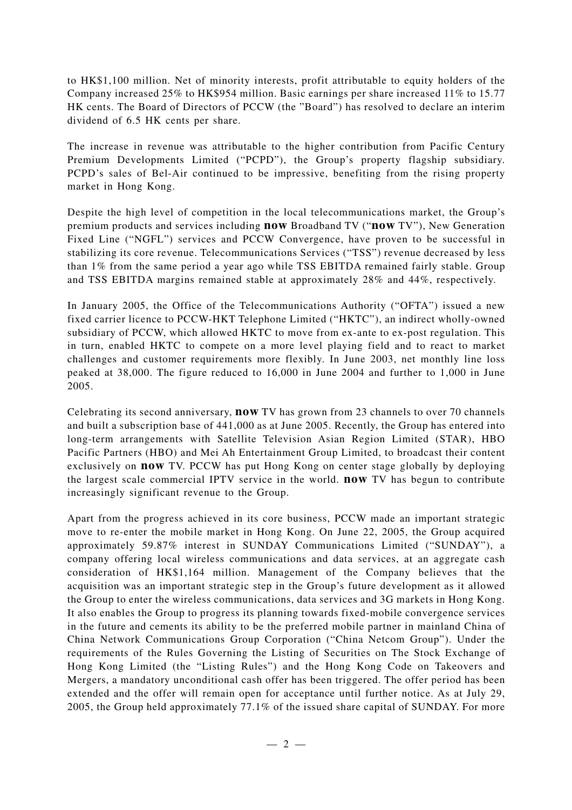to HK\$1,100 million. Net of minority interests, profit attributable to equity holders of the Company increased 25% to HK\$954 million. Basic earnings per share increased 11% to 15.77 HK cents. The Board of Directors of PCCW (the "Board") has resolved to declare an interim dividend of 6.5 HK cents per share.

The increase in revenue was attributable to the higher contribution from Pacific Century Premium Developments Limited ("PCPD"), the Group's property flagship subsidiary. PCPD's sales of Bel-Air continued to be impressive, benefiting from the rising property market in Hong Kong.

Despite the high level of competition in the local telecommunications market, the Group's premium products and services including **now** Broadband TV ("**now** TV"), New Generation Fixed Line ("NGFL") services and PCCW Convergence, have proven to be successful in stabilizing its core revenue. Telecommunications Services ("TSS") revenue decreased by less than 1% from the same period a year ago while TSS EBITDA remained fairly stable. Group and TSS EBITDA margins remained stable at approximately 28% and 44%, respectively.

In January 2005, the Office of the Telecommunications Authority ("OFTA") issued a new fixed carrier licence to PCCW-HKT Telephone Limited ("HKTC"), an indirect wholly-owned subsidiary of PCCW, which allowed HKTC to move from ex-ante to ex-post regulation. This in turn, enabled HKTC to compete on a more level playing field and to react to market challenges and customer requirements more flexibly. In June 2003, net monthly line loss peaked at 38,000. The figure reduced to 16,000 in June 2004 and further to 1,000 in June 2005.

Celebrating its second anniversary, **now** TV has grown from 23 channels to over 70 channels and built a subscription base of 441,000 as at June 2005. Recently, the Group has entered into long-term arrangements with Satellite Television Asian Region Limited (STAR), HBO Pacific Partners (HBO) and Mei Ah Entertainment Group Limited, to broadcast their content exclusively on **now** TV. PCCW has put Hong Kong on center stage globally by deploying the largest scale commercial IPTV service in the world. **now** TV has begun to contribute increasingly significant revenue to the Group.

Apart from the progress achieved in its core business, PCCW made an important strategic move to re-enter the mobile market in Hong Kong. On June 22, 2005, the Group acquired approximately 59.87% interest in SUNDAY Communications Limited ("SUNDAY"), a company offering local wireless communications and data services, at an aggregate cash consideration of HK\$1,164 million. Management of the Company believes that the acquisition was an important strategic step in the Group's future development as it allowed the Group to enter the wireless communications, data services and 3G markets in Hong Kong. It also enables the Group to progress its planning towards fixed-mobile convergence services in the future and cements its ability to be the preferred mobile partner in mainland China of China Network Communications Group Corporation ("China Netcom Group"). Under the requirements of the Rules Governing the Listing of Securities on The Stock Exchange of Hong Kong Limited (the "Listing Rules") and the Hong Kong Code on Takeovers and Mergers, a mandatory unconditional cash offer has been triggered. The offer period has been extended and the offer will remain open for acceptance until further notice. As at July 29, 2005, the Group held approximately 77.1% of the issued share capital of SUNDAY. For more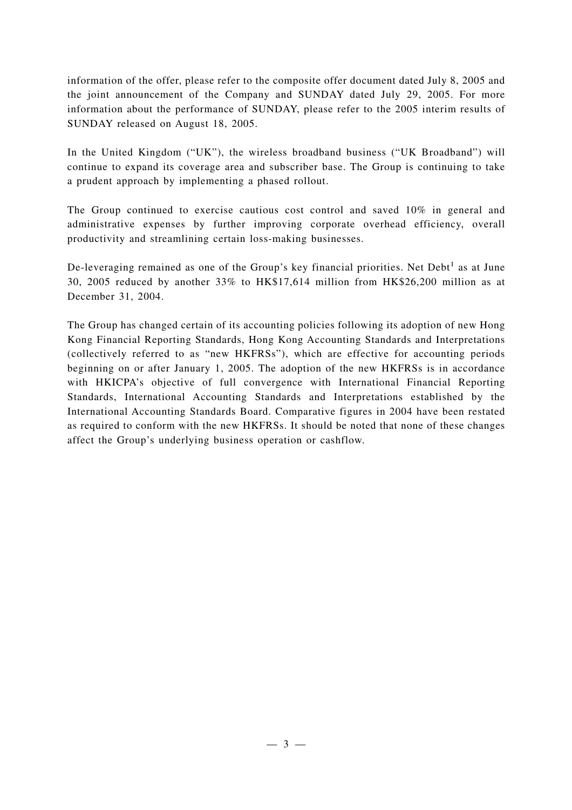information of the offer, please refer to the composite offer document dated July 8, 2005 and the joint announcement of the Company and SUNDAY dated July 29, 2005. For more information about the performance of SUNDAY, please refer to the 2005 interim results of SUNDAY released on August 18, 2005.

In the United Kingdom ("UK"), the wireless broadband business ("UK Broadband") will continue to expand its coverage area and subscriber base. The Group is continuing to take a prudent approach by implementing a phased rollout.

The Group continued to exercise cautious cost control and saved 10% in general and administrative expenses by further improving corporate overhead efficiency, overall productivity and streamlining certain loss-making businesses.

De-leveraging remained as one of the Group's key financial priorities. Net  $Debt<sup>1</sup>$  as at June 30, 2005 reduced by another 33% to HK\$17,614 million from HK\$26,200 million as at December 31, 2004.

The Group has changed certain of its accounting policies following its adoption of new Hong Kong Financial Reporting Standards, Hong Kong Accounting Standards and Interpretations (collectively referred to as "new HKFRSs"), which are effective for accounting periods beginning on or after January 1, 2005. The adoption of the new HKFRSs is in accordance with HKICPA's objective of full convergence with International Financial Reporting Standards, International Accounting Standards and Interpretations established by the International Accounting Standards Board. Comparative figures in 2004 have been restated as required to conform with the new HKFRSs. It should be noted that none of these changes affect the Group's underlying business operation or cashflow.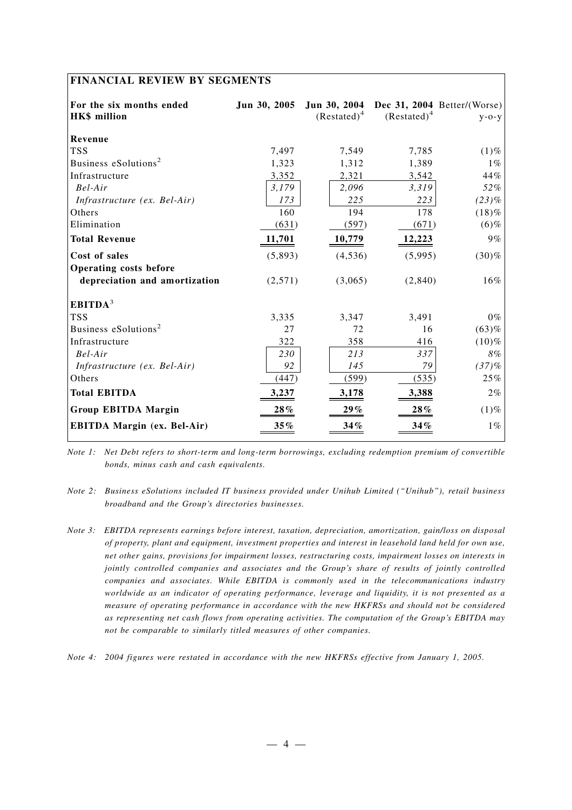# **FINANCIAL REVIEW BY SEGMENTS**

| For the six months ended<br><b>HK\$</b> million | Jun 30, 2005  | $(Restated)^4$ | $(Restated)^4$ | Jun 30, 2004 Dec 31, 2004 Better/(Worse)<br>$y - 0 - y$ |
|-------------------------------------------------|---------------|----------------|----------------|---------------------------------------------------------|
| Revenue                                         |               |                |                |                                                         |
| <b>TSS</b>                                      | 7,497         | 7,549          | 7,785          | $(1)\%$                                                 |
| Business eSolutions <sup>2</sup>                | 1,323         | 1,312          | 1,389          | $1\%$                                                   |
| Infrastructure                                  | 3,352         | 2,321          | 3,542          | 44%                                                     |
| $Bel-Air$                                       | 3,179         | 2,096          | 3,319          | 52%                                                     |
| Infrastructure (ex. Bel-Air)                    | 173           | 225            | 223            | $(23)\%$                                                |
| Others                                          | 160           | 194            | 178            | $(18)\%$                                                |
| Elimination                                     | (631)         | (597)          | (671)          | $(6)$ %                                                 |
| <b>Total Revenue</b>                            | <u>11,701</u> | 10,779         | <u>12,223</u>  | 9%                                                      |
| Cost of sales                                   | (5,893)       | (4,536)        | (5,995)        | (30)%                                                   |
| <b>Operating costs before</b>                   |               |                |                |                                                         |
| depreciation and amortization                   | (2,571)       | (3,065)        | (2,840)        | 16%                                                     |
| EBITDA <sup>3</sup>                             |               |                |                |                                                         |
| <b>TSS</b>                                      | 3,335         | 3,347          | 3,491          | $0\%$                                                   |
| Business eSolutions <sup>2</sup>                | 27            | 72             | 16             | (63)%                                                   |
| Infrastructure                                  | 322           | 358            | 416            | (10)%                                                   |
| Bel-Air                                         | 230           | 213            | 337            | 8%                                                      |
| Infrastructure (ex. Bel-Air)                    | 92            | 145            | 79             | (37)%                                                   |
| Others                                          | (447)         | (599)          | (535)          | 25%                                                     |
| <b>Total EBITDA</b>                             | 3,237         | 3,178          | 3,388          | 2%                                                      |
| <b>Group EBITDA Margin</b>                      | 28%           | 29%            | 28%            | $(1)$ %                                                 |
| <b>EBITDA Margin (ex. Bel-Air)</b>              | $35\%$        | 34%            | $34\%$         | $1\%$                                                   |

*Note 1: Net Debt refers to short-term and long-term borrowings, excluding redemption premium of convertible bonds, minus cash and cash equivalents.*

- *Note 2: Business eSolutions included IT business provided under Unihub Limited ("Unihub"), retail business broadband and the Group's directories businesses.*
- *Note 3: EBITDA represents earnings before interest, taxation, depreciation, amortization, gain/loss on disposal of property, plant and equipment, investment properties and interest in leasehold land held for own use, net other gains, provisions for impairment losses, restructuring costs, impairment losses on interests in jointly controlled companies and associates and the Group's share of results of jointly controlled companies and associates. While EBITDA is commonly used in the telecommunications industry worldwide as an indicator of operating performance, leverage and liquidity, it is not presented as a measure of operating performance in accordance with the new HKFRSs and should not be considered as representing net cash flows from operating activities. The computation of the Group's EBITDA may not be comparable to similarly titled measures of other companies.*

*Note 4: 2004 figures were restated in accordance with the new HKFRSs effective from January 1, 2005.*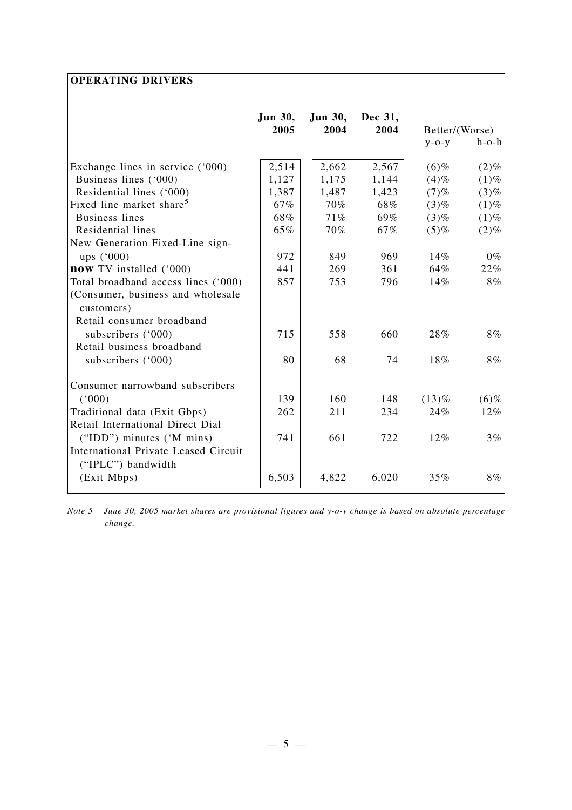# **OPERATING DRIVERS**

|                                                 | <b>Jun 30,</b> | <b>Jun 30,</b> | Dec 31, |                |             |
|-------------------------------------------------|----------------|----------------|---------|----------------|-------------|
|                                                 | 2005           | 2004           | 2004    | Better/(Worse) |             |
|                                                 |                |                |         | $y - o - y$    | $h$ -o- $h$ |
| Exchange lines in service ('000)                | 2,514          | 2,662          | 2,567   | $(6)$ %        | $(2)\%$     |
| Business lines ('000)                           | 1,127          | 1,175          | 1,144   | $(4)$ %        | $(1)\%$     |
| Residential lines ('000)                        | 1,387          | 1,487          | 1,423   | $(7)$ %        | $(3)$ %     |
| Fixed line market share <sup>5</sup>            | 67%            | 70%            | 68%     | $(3)\%$        | $(1)$ %     |
| <b>Business lines</b>                           | 68%            | 71%            | 69%     | $(3)\%$        | $(1)$ %     |
| Residential lines                               | 65%            | 70%            | 67%     | $(5)$ %        | $(2)$ %     |
| New Generation Fixed-Line sign-                 |                |                |         |                |             |
| ups $(^{6}000)$                                 | 972            | 849            | 969     | 14%            | $0\%$       |
| now TV installed ('000)                         | 441            | 269            | 361     | 64%            | 22%         |
| Total broadband access lines ('000)             | 857            | 753            | 796     | 14%            | 8%          |
| (Consumer, business and wholesale<br>customers) |                |                |         |                |             |
| Retail consumer broadband                       |                |                |         |                |             |
| subscribers ('000)                              | 715            | 558            | 660     | 28%            | 8%          |
| Retail business broadband                       |                |                |         |                |             |
|                                                 |                |                |         |                |             |
| subscribers ('000)                              | 80             | 68             | 74      | 18%            | 8%          |
| Consumer narrowband subscribers                 |                |                |         |                |             |
| (000)                                           | 139            | 160            | 148     | $(13)\%$       | $(6)$ %     |
| Traditional data (Exit Gbps)                    | 262            | 211            | 234     | 24%            | 12%         |
| Retail International Direct Dial                |                |                |         |                |             |
| ("IDD") minutes ('M mins)                       | 741            | 661            | 722     | $12\%$         | 3%          |
| International Private Leased Circuit            |                |                |         |                |             |
| ("IPLC") bandwidth                              |                |                |         |                |             |
| (Exit Mbps)                                     | 6,503          | 4,822          | 6,020   | 35%            | 8%          |

*Note 5 June 30, 2005 market shares are provisional figures and y-o-y change is based on absolute percentage change.*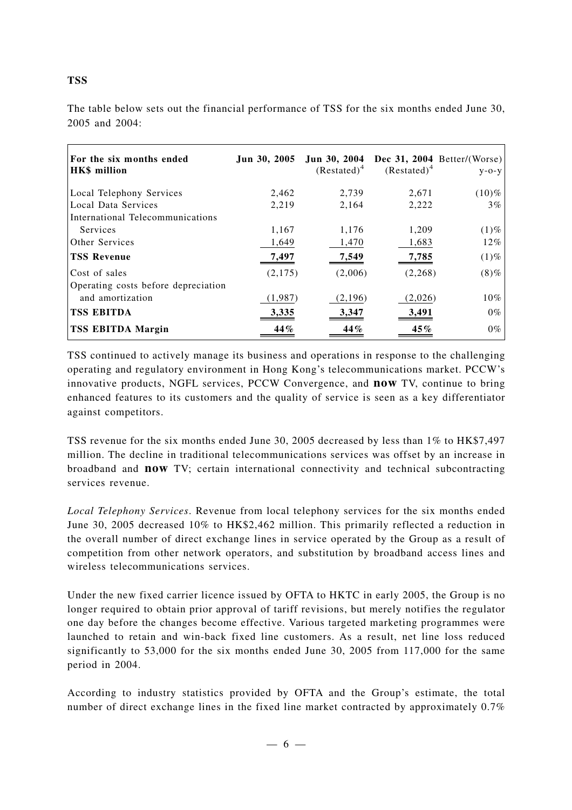| For the six months ended<br><b>HK\$</b> million | Jun 30, 2005 | Jun 30, 2004<br>$(Restated)^4$ | $(Restated)^4$ | Dec 31, 2004 Better/(Worse)<br>$V - O - V$ |
|-------------------------------------------------|--------------|--------------------------------|----------------|--------------------------------------------|
| Local Telephony Services                        | 2,462        | 2,739                          | 2,671          | $(10)\%$                                   |
| Local Data Services                             | 2,219        | 2,164                          | 2,222          | $3\%$                                      |
| International Telecommunications                |              |                                |                |                                            |
| Services                                        | 1,167        | 1,176                          | 1,209          | $(1)\%$                                    |
| Other Services                                  | 1,649        | 1,470                          | 1,683          | $12\%$                                     |
| <b>TSS Revenue</b>                              | 7,497        | 7,549                          | 7,785          | $(1)\%$                                    |
| Cost of sales                                   | (2,175)      | (2,006)                        | (2,268)        | $(8)\%$                                    |
| Operating costs before depreciation             |              |                                |                |                                            |
| and amortization                                | (1,987)      | (2,196)                        | (2,026)        | 10%                                        |
| <b>TSS EBITDA</b>                               | 3,335        | 3,347                          | 3,491          | $0\%$                                      |
| <b>TSS EBITDA Margin</b>                        | 44%          | 44%                            | 45%            | $0\%$                                      |

The table below sets out the financial performance of TSS for the six months ended June 30, 2005 and 2004:

TSS continued to actively manage its business and operations in response to the challenging operating and regulatory environment in Hong Kong's telecommunications market. PCCW's innovative products, NGFL services, PCCW Convergence, and **now** TV, continue to bring enhanced features to its customers and the quality of service is seen as a key differentiator against competitors.

TSS revenue for the six months ended June 30, 2005 decreased by less than 1% to HK\$7,497 million. The decline in traditional telecommunications services was offset by an increase in broadband and **now** TV; certain international connectivity and technical subcontracting services revenue.

*Local Telephony Services*. Revenue from local telephony services for the six months ended June 30, 2005 decreased 10% to HK\$2,462 million. This primarily reflected a reduction in the overall number of direct exchange lines in service operated by the Group as a result of competition from other network operators, and substitution by broadband access lines and wireless telecommunications services.

Under the new fixed carrier licence issued by OFTA to HKTC in early 2005, the Group is no longer required to obtain prior approval of tariff revisions, but merely notifies the regulator one day before the changes become effective. Various targeted marketing programmes were launched to retain and win-back fixed line customers. As a result, net line loss reduced significantly to 53,000 for the six months ended June 30, 2005 from 117,000 for the same period in 2004.

According to industry statistics provided by OFTA and the Group's estimate, the total number of direct exchange lines in the fixed line market contracted by approximately 0.7%

**TSS**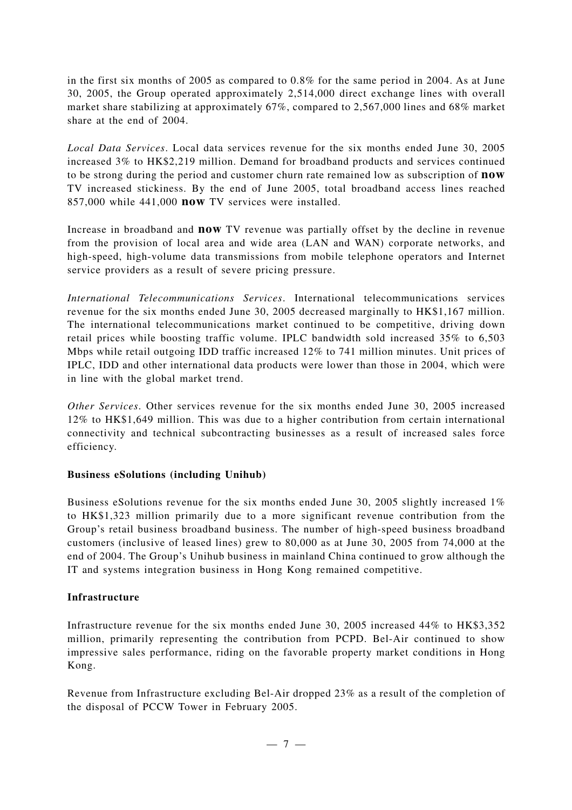in the first six months of 2005 as compared to 0.8% for the same period in 2004. As at June 30, 2005, the Group operated approximately 2,514,000 direct exchange lines with overall market share stabilizing at approximately 67%, compared to 2,567,000 lines and 68% market share at the end of 2004.

*Local Data Services*. Local data services revenue for the six months ended June 30, 2005 increased 3% to HK\$2,219 million. Demand for broadband products and services continued to be strong during the period and customer churn rate remained low as subscription of **now** TV increased stickiness. By the end of June 2005, total broadband access lines reached 857,000 while 441,000 **now** TV services were installed.

Increase in broadband and **now** TV revenue was partially offset by the decline in revenue from the provision of local area and wide area (LAN and WAN) corporate networks, and high-speed, high-volume data transmissions from mobile telephone operators and Internet service providers as a result of severe pricing pressure.

*International Telecommunications Services*. International telecommunications services revenue for the six months ended June 30, 2005 decreased marginally to HK\$1,167 million. The international telecommunications market continued to be competitive, driving down retail prices while boosting traffic volume. IPLC bandwidth sold increased 35% to 6,503 Mbps while retail outgoing IDD traffic increased 12% to 741 million minutes. Unit prices of IPLC, IDD and other international data products were lower than those in 2004, which were in line with the global market trend.

*Other Services*. Other services revenue for the six months ended June 30, 2005 increased 12% to HK\$1,649 million. This was due to a higher contribution from certain international connectivity and technical subcontracting businesses as a result of increased sales force efficiency.

# **Business eSolutions (including Unihub)**

Business eSolutions revenue for the six months ended June 30, 2005 slightly increased 1% to HK\$1,323 million primarily due to a more significant revenue contribution from the Group's retail business broadband business. The number of high-speed business broadband customers (inclusive of leased lines) grew to 80,000 as at June 30, 2005 from 74,000 at the end of 2004. The Group's Unihub business in mainland China continued to grow although the IT and systems integration business in Hong Kong remained competitive.

# **Infrastructure**

Infrastructure revenue for the six months ended June 30, 2005 increased 44% to HK\$3,352 million, primarily representing the contribution from PCPD. Bel-Air continued to show impressive sales performance, riding on the favorable property market conditions in Hong Kong.

Revenue from Infrastructure excluding Bel-Air dropped 23% as a result of the completion of the disposal of PCCW Tower in February 2005.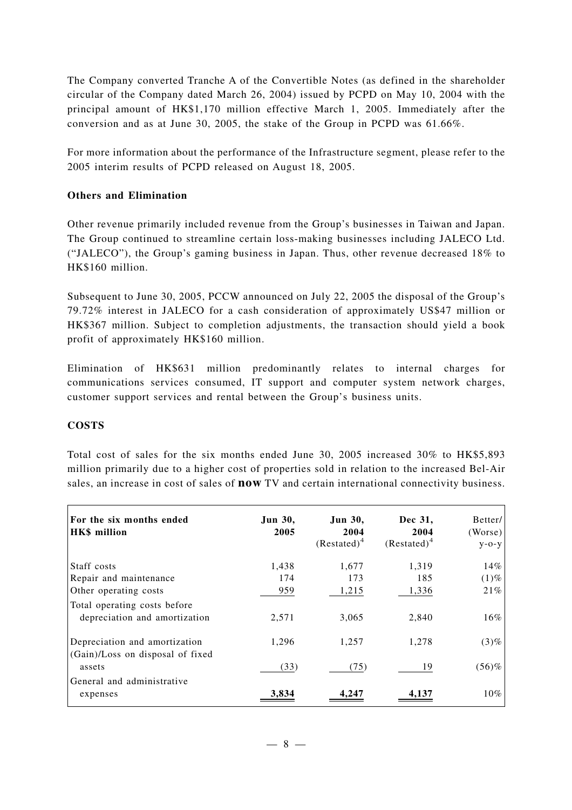The Company converted Tranche A of the Convertible Notes (as defined in the shareholder circular of the Company dated March 26, 2004) issued by PCPD on May 10, 2004 with the principal amount of HK\$1,170 million effective March 1, 2005. Immediately after the conversion and as at June 30, 2005, the stake of the Group in PCPD was 61.66%.

For more information about the performance of the Infrastructure segment, please refer to the 2005 interim results of PCPD released on August 18, 2005.

# **Others and Elimination**

Other revenue primarily included revenue from the Group's businesses in Taiwan and Japan. The Group continued to streamline certain loss-making businesses including JALECO Ltd. ("JALECO"), the Group's gaming business in Japan. Thus, other revenue decreased 18% to HK\$160 million.

Subsequent to June 30, 2005, PCCW announced on July 22, 2005 the disposal of the Group's 79.72% interest in JALECO for a cash consideration of approximately US\$47 million or HK\$367 million. Subject to completion adjustments, the transaction should yield a book profit of approximately HK\$160 million.

Elimination of HK\$631 million predominantly relates to internal charges for communications services consumed, IT support and computer system network charges, customer support services and rental between the Group's business units.

# **COSTS**

Total cost of sales for the six months ended June 30, 2005 increased 30% to HK\$5,893 million primarily due to a higher cost of properties sold in relation to the increased Bel-Air sales, an increase in cost of sales of **now** TV and certain international connectivity business.

| For the six months ended<br><b>HK\$</b> million                   | Jun 30,<br>2005 | <b>Jun 30,</b><br>2004<br>$(Restated)^4$ | Dec 31,<br>2004<br>$(Restated)^4$ | Better/<br>(Worse)<br>$V - O - V$ |
|-------------------------------------------------------------------|-----------------|------------------------------------------|-----------------------------------|-----------------------------------|
| Staff costs                                                       | 1,438           | 1,677                                    | 1,319                             | 14%                               |
| Repair and maintenance                                            | 174             | 173                                      | 185                               | $(1)\%$                           |
| Other operating costs                                             | 959             | 1,215                                    | 1,336                             | 21%                               |
| Total operating costs before<br>depreciation and amortization     | 2,571           | 3,065                                    | 2,840                             | 16%                               |
| Depreciation and amortization<br>(Gain)/Loss on disposal of fixed | 1,296           | 1,257                                    | 1,278                             | $(3)\%$                           |
| assets                                                            | (33)            | (75)                                     | 19                                | $(56)$ %                          |
| General and administrative<br>expenses                            | 3.834           |                                          |                                   | $10\%$                            |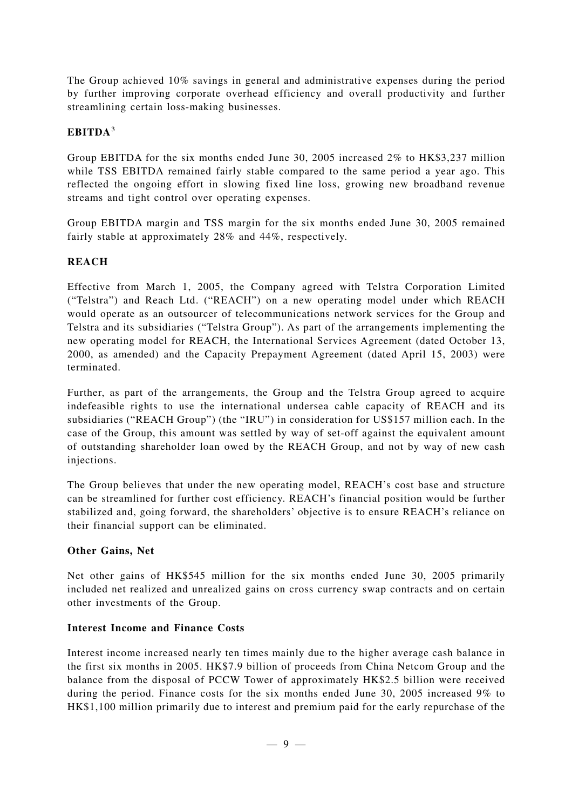The Group achieved 10% savings in general and administrative expenses during the period by further improving corporate overhead efficiency and overall productivity and further streamlining certain loss-making businesses.

# **EBITDA**<sup>3</sup>

Group EBITDA for the six months ended June 30, 2005 increased 2% to HK\$3,237 million while TSS EBITDA remained fairly stable compared to the same period a year ago. This reflected the ongoing effort in slowing fixed line loss, growing new broadband revenue streams and tight control over operating expenses.

Group EBITDA margin and TSS margin for the six months ended June 30, 2005 remained fairly stable at approximately 28% and 44%, respectively.

# **REACH**

Effective from March 1, 2005, the Company agreed with Telstra Corporation Limited ("Telstra") and Reach Ltd. ("REACH") on a new operating model under which REACH would operate as an outsourcer of telecommunications network services for the Group and Telstra and its subsidiaries ("Telstra Group"). As part of the arrangements implementing the new operating model for REACH, the International Services Agreement (dated October 13, 2000, as amended) and the Capacity Prepayment Agreement (dated April 15, 2003) were terminated.

Further, as part of the arrangements, the Group and the Telstra Group agreed to acquire indefeasible rights to use the international undersea cable capacity of REACH and its subsidiaries ("REACH Group") (the "IRU") in consideration for US\$157 million each. In the case of the Group, this amount was settled by way of set-off against the equivalent amount of outstanding shareholder loan owed by the REACH Group, and not by way of new cash injections.

The Group believes that under the new operating model, REACH's cost base and structure can be streamlined for further cost efficiency. REACH's financial position would be further stabilized and, going forward, the shareholders' objective is to ensure REACH's reliance on their financial support can be eliminated.

# **Other Gains, Net**

Net other gains of HK\$545 million for the six months ended June 30, 2005 primarily included net realized and unrealized gains on cross currency swap contracts and on certain other investments of the Group.

# **Interest Income and Finance Costs**

Interest income increased nearly ten times mainly due to the higher average cash balance in the first six months in 2005. HK\$7.9 billion of proceeds from China Netcom Group and the balance from the disposal of PCCW Tower of approximately HK\$2.5 billion were received during the period. Finance costs for the six months ended June 30, 2005 increased 9% to HK\$1,100 million primarily due to interest and premium paid for the early repurchase of the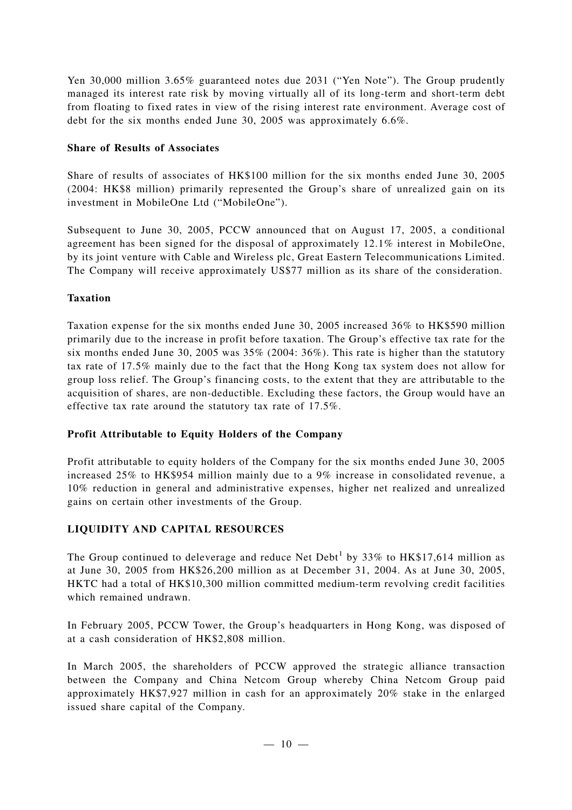Yen 30,000 million 3.65% guaranteed notes due 2031 ("Yen Note"). The Group prudently managed its interest rate risk by moving virtually all of its long-term and short-term debt from floating to fixed rates in view of the rising interest rate environment. Average cost of debt for the six months ended June 30, 2005 was approximately 6.6%.

# **Share of Results of Associates**

Share of results of associates of HK\$100 million for the six months ended June 30, 2005 (2004: HK\$8 million) primarily represented the Group's share of unrealized gain on its investment in MobileOne Ltd ("MobileOne").

Subsequent to June 30, 2005, PCCW announced that on August 17, 2005, a conditional agreement has been signed for the disposal of approximately 12.1% interest in MobileOne, by its joint venture with Cable and Wireless plc, Great Eastern Telecommunications Limited. The Company will receive approximately US\$77 million as its share of the consideration.

# **Taxation**

Taxation expense for the six months ended June 30, 2005 increased 36% to HK\$590 million primarily due to the increase in profit before taxation. The Group's effective tax rate for the six months ended June 30, 2005 was  $35\%$  (2004:  $36\%$ ). This rate is higher than the statutory tax rate of 17.5% mainly due to the fact that the Hong Kong tax system does not allow for group loss relief. The Group's financing costs, to the extent that they are attributable to the acquisition of shares, are non-deductible. Excluding these factors, the Group would have an effective tax rate around the statutory tax rate of 17.5%.

# **Profit Attributable to Equity Holders of the Company**

Profit attributable to equity holders of the Company for the six months ended June 30, 2005 increased 25% to HK\$954 million mainly due to a 9% increase in consolidated revenue, a 10% reduction in general and administrative expenses, higher net realized and unrealized gains on certain other investments of the Group.

# **LIQUIDITY AND CAPITAL RESOURCES**

The Group continued to deleverage and reduce Net Debt<sup>1</sup> by 33% to  $HK$17,614$  million as at June 30, 2005 from HK\$26,200 million as at December 31, 2004. As at June 30, 2005, HKTC had a total of HK\$10,300 million committed medium-term revolving credit facilities which remained undrawn.

In February 2005, PCCW Tower, the Group's headquarters in Hong Kong, was disposed of at a cash consideration of HK\$2,808 million.

In March 2005, the shareholders of PCCW approved the strategic alliance transaction between the Company and China Netcom Group whereby China Netcom Group paid approximately HK\$7,927 million in cash for an approximately 20% stake in the enlarged issued share capital of the Company.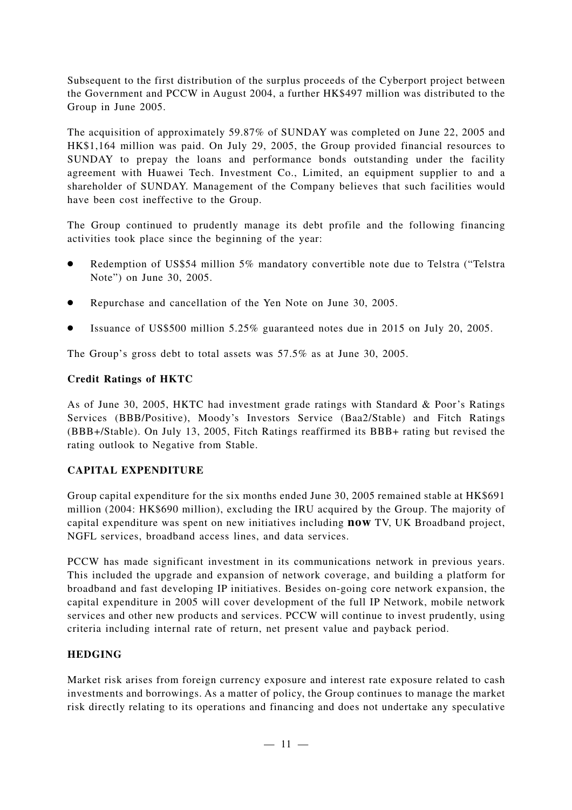Subsequent to the first distribution of the surplus proceeds of the Cyberport project between the Government and PCCW in August 2004, a further HK\$497 million was distributed to the Group in June 2005.

The acquisition of approximately 59.87% of SUNDAY was completed on June 22, 2005 and HK\$1,164 million was paid. On July 29, 2005, the Group provided financial resources to SUNDAY to prepay the loans and performance bonds outstanding under the facility agreement with Huawei Tech. Investment Co., Limited, an equipment supplier to and a shareholder of SUNDAY. Management of the Company believes that such facilities would have been cost ineffective to the Group.

The Group continued to prudently manage its debt profile and the following financing activities took place since the beginning of the year:

- Redemption of US\$54 million 5% mandatory convertible note due to Telstra ("Telstra Note") on June 30, 2005.
- Repurchase and cancellation of the Yen Note on June 30, 2005.
- Issuance of US\$500 million 5.25% guaranteed notes due in 2015 on July 20, 2005.

The Group's gross debt to total assets was 57.5% as at June 30, 2005.

# **Credit Ratings of HKTC**

As of June 30, 2005, HKTC had investment grade ratings with Standard & Poor's Ratings Services (BBB/Positive), Moody's Investors Service (Baa2/Stable) and Fitch Ratings (BBB+/Stable). On July 13, 2005, Fitch Ratings reaffirmed its BBB+ rating but revised the rating outlook to Negative from Stable.

# **CAPITAL EXPENDITURE**

Group capital expenditure for the six months ended June 30, 2005 remained stable at HK\$691 million (2004: HK\$690 million), excluding the IRU acquired by the Group. The majority of capital expenditure was spent on new initiatives including **now** TV, UK Broadband project, NGFL services, broadband access lines, and data services.

PCCW has made significant investment in its communications network in previous years. This included the upgrade and expansion of network coverage, and building a platform for broadband and fast developing IP initiatives. Besides on-going core network expansion, the capital expenditure in 2005 will cover development of the full IP Network, mobile network services and other new products and services. PCCW will continue to invest prudently, using criteria including internal rate of return, net present value and payback period.

# **HEDGING**

Market risk arises from foreign currency exposure and interest rate exposure related to cash investments and borrowings. As a matter of policy, the Group continues to manage the market risk directly relating to its operations and financing and does not undertake any speculative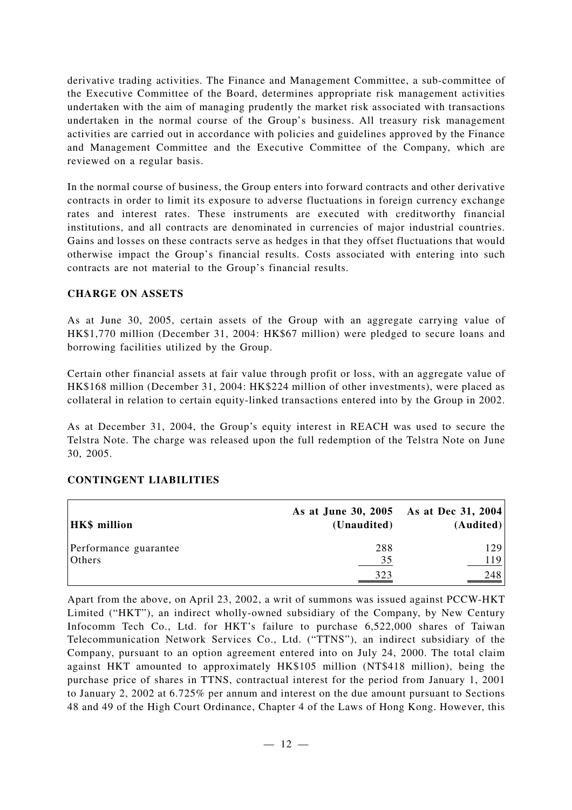derivative trading activities. The Finance and Management Committee, a sub-committee of the Executive Committee of the Board, determines appropriate risk management activities undertaken with the aim of managing prudently the market risk associated with transactions undertaken in the normal course of the Group's business. All treasury risk management activities are carried out in accordance with policies and guidelines approved by the Finance and Management Committee and the Executive Committee of the Company, which are reviewed on a regular basis.

In the normal course of business, the Group enters into forward contracts and other derivative contracts in order to limit its exposure to adverse fluctuations in foreign currency exchange rates and interest rates. These instruments are executed with creditworthy financial institutions, and all contracts are denominated in currencies of major industrial countries. Gains and losses on these contracts serve as hedges in that they offset fluctuations that would otherwise impact the Group's financial results. Costs associated with entering into such contracts are not material to the Group's financial results.

# **CHARGE ON ASSETS**

As at June 30, 2005, certain assets of the Group with an aggregate carrying value of HK\$1,770 million (December 31, 2004: HK\$67 million) were pledged to secure loans and borrowing facilities utilized by the Group.

Certain other financial assets at fair value through profit or loss, with an aggregate value of HK\$168 million (December 31, 2004: HK\$224 million of other investments), were placed as collateral in relation to certain equity-linked transactions entered into by the Group in 2002.

As at December 31, 2004, the Group's equity interest in REACH was used to secure the Telstra Note. The charge was released upon the full redemption of the Telstra Note on June 30, 2005.

| <b>HK\$</b> million             | As at June 30, 2005<br>(Unaudited) | <b>As at Dec 31, 2004</b><br>(Audited) |
|---------------------------------|------------------------------------|----------------------------------------|
| Performance guarantee<br>Others | 288<br>35                          | 129<br>119'                            |
|                                 | 323                                | 248                                    |

# **CONTINGENT LIABILITIES**

Apart from the above, on April 23, 2002, a writ of summons was issued against PCCW-HKT Limited ("HKT"), an indirect wholly-owned subsidiary of the Company, by New Century Infocomm Tech Co., Ltd. for HKT's failure to purchase 6,522,000 shares of Taiwan Telecommunication Network Services Co., Ltd. ("TTNS"), an indirect subsidiary of the Company, pursuant to an option agreement entered into on July 24, 2000. The total claim against HKT amounted to approximately HK\$105 million (NT\$418 million), being the purchase price of shares in TTNS, contractual interest for the period from January 1, 2001 to January 2, 2002 at 6.725% per annum and interest on the due amount pursuant to Sections 48 and 49 of the High Court Ordinance, Chapter 4 of the Laws of Hong Kong. However, this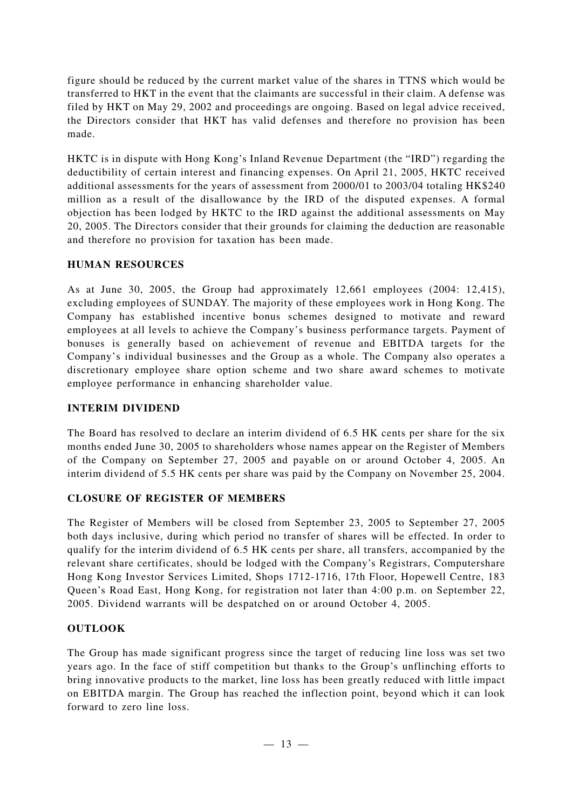figure should be reduced by the current market value of the shares in TTNS which would be transferred to HKT in the event that the claimants are successful in their claim. A defense was filed by HKT on May 29, 2002 and proceedings are ongoing. Based on legal advice received, the Directors consider that HKT has valid defenses and therefore no provision has been made.

HKTC is in dispute with Hong Kong's Inland Revenue Department (the "IRD") regarding the deductibility of certain interest and financing expenses. On April 21, 2005, HKTC received additional assessments for the years of assessment from 2000/01 to 2003/04 totaling HK\$240 million as a result of the disallowance by the IRD of the disputed expenses. A formal objection has been lodged by HKTC to the IRD against the additional assessments on May 20, 2005. The Directors consider that their grounds for claiming the deduction are reasonable and therefore no provision for taxation has been made.

# **HUMAN RESOURCES**

As at June 30, 2005, the Group had approximately 12,661 employees (2004: 12,415), excluding employees of SUNDAY. The majority of these employees work in Hong Kong. The Company has established incentive bonus schemes designed to motivate and reward employees at all levels to achieve the Company's business performance targets. Payment of bonuses is generally based on achievement of revenue and EBITDA targets for the Company's individual businesses and the Group as a whole. The Company also operates a discretionary employee share option scheme and two share award schemes to motivate employee performance in enhancing shareholder value.

# **INTERIM DIVIDEND**

The Board has resolved to declare an interim dividend of 6.5 HK cents per share for the six months ended June 30, 2005 to shareholders whose names appear on the Register of Members of the Company on September 27, 2005 and payable on or around October 4, 2005. An interim dividend of 5.5 HK cents per share was paid by the Company on November 25, 2004.

# **CLOSURE OF REGISTER OF MEMBERS**

The Register of Members will be closed from September 23, 2005 to September 27, 2005 both days inclusive, during which period no transfer of shares will be effected. In order to qualify for the interim dividend of 6.5 HK cents per share, all transfers, accompanied by the relevant share certificates, should be lodged with the Company's Registrars, Computershare Hong Kong Investor Services Limited, Shops 1712-1716, 17th Floor, Hopewell Centre, 183 Queen's Road East, Hong Kong, for registration not later than 4:00 p.m. on September 22, 2005. Dividend warrants will be despatched on or around October 4, 2005.

# **OUTLOOK**

The Group has made significant progress since the target of reducing line loss was set two years ago. In the face of stiff competition but thanks to the Group's unflinching efforts to bring innovative products to the market, line loss has been greatly reduced with little impact on EBITDA margin. The Group has reached the inflection point, beyond which it can look forward to zero line loss.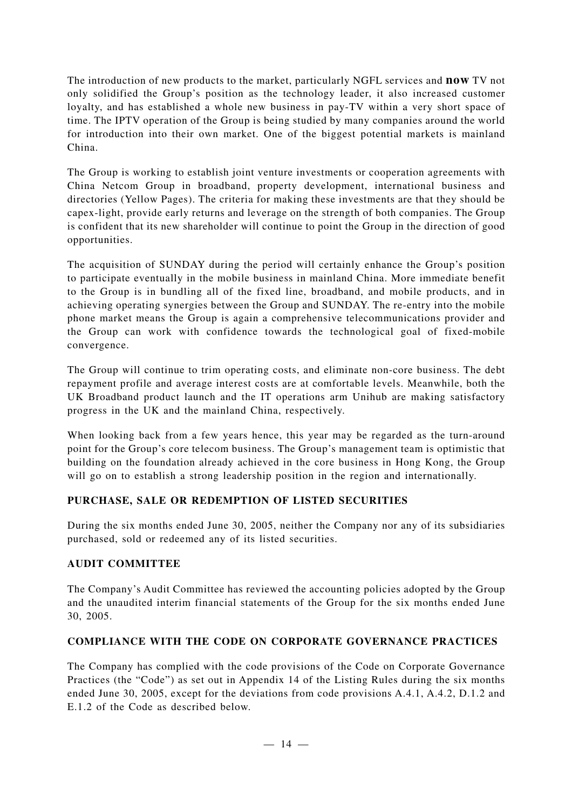The introduction of new products to the market, particularly NGFL services and **now** TV not only solidified the Group's position as the technology leader, it also increased customer loyalty, and has established a whole new business in pay-TV within a very short space of time. The IPTV operation of the Group is being studied by many companies around the world for introduction into their own market. One of the biggest potential markets is mainland China.

The Group is working to establish joint venture investments or cooperation agreements with China Netcom Group in broadband, property development, international business and directories (Yellow Pages). The criteria for making these investments are that they should be capex-light, provide early returns and leverage on the strength of both companies. The Group is confident that its new shareholder will continue to point the Group in the direction of good opportunities.

The acquisition of SUNDAY during the period will certainly enhance the Group's position to participate eventually in the mobile business in mainland China. More immediate benefit to the Group is in bundling all of the fixed line, broadband, and mobile products, and in achieving operating synergies between the Group and SUNDAY. The re-entry into the mobile phone market means the Group is again a comprehensive telecommunications provider and the Group can work with confidence towards the technological goal of fixed-mobile convergence.

The Group will continue to trim operating costs, and eliminate non-core business. The debt repayment profile and average interest costs are at comfortable levels. Meanwhile, both the UK Broadband product launch and the IT operations arm Unihub are making satisfactory progress in the UK and the mainland China, respectively.

When looking back from a few years hence, this year may be regarded as the turn-around point for the Group's core telecom business. The Group's management team is optimistic that building on the foundation already achieved in the core business in Hong Kong, the Group will go on to establish a strong leadership position in the region and internationally.

# **PURCHASE, SALE OR REDEMPTION OF LISTED SECURITIES**

During the six months ended June 30, 2005, neither the Company nor any of its subsidiaries purchased, sold or redeemed any of its listed securities.

# **AUDIT COMMITTEE**

The Company's Audit Committee has reviewed the accounting policies adopted by the Group and the unaudited interim financial statements of the Group for the six months ended June 30, 2005.

# **COMPLIANCE WITH THE CODE ON CORPORATE GOVERNANCE PRACTICES**

The Company has complied with the code provisions of the Code on Corporate Governance Practices (the "Code") as set out in Appendix 14 of the Listing Rules during the six months ended June 30, 2005, except for the deviations from code provisions A.4.1, A.4.2, D.1.2 and E.1.2 of the Code as described below.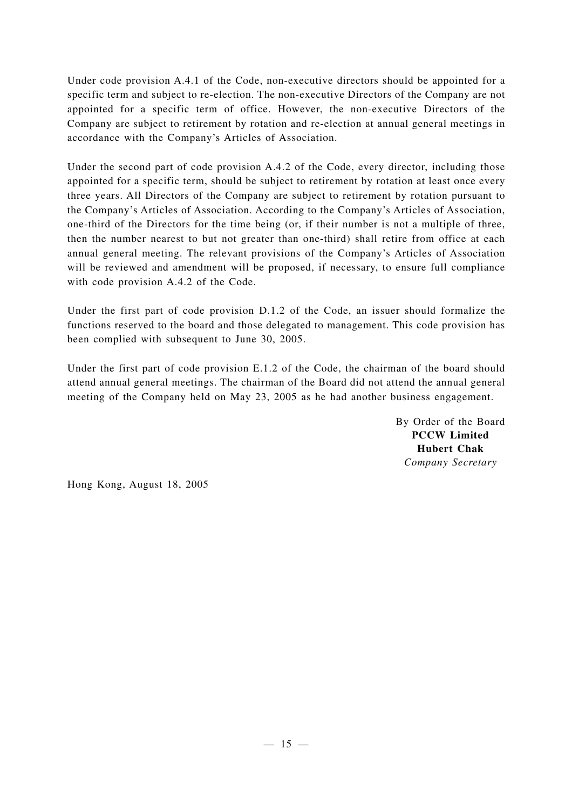Under code provision A.4.1 of the Code, non-executive directors should be appointed for a specific term and subject to re-election. The non-executive Directors of the Company are not appointed for a specific term of office. However, the non-executive Directors of the Company are subject to retirement by rotation and re-election at annual general meetings in accordance with the Company's Articles of Association.

Under the second part of code provision A.4.2 of the Code, every director, including those appointed for a specific term, should be subject to retirement by rotation at least once every three years. All Directors of the Company are subject to retirement by rotation pursuant to the Company's Articles of Association. According to the Company's Articles of Association, one-third of the Directors for the time being (or, if their number is not a multiple of three, then the number nearest to but not greater than one-third) shall retire from office at each annual general meeting. The relevant provisions of the Company's Articles of Association will be reviewed and amendment will be proposed, if necessary, to ensure full compliance with code provision A.4.2 of the Code.

Under the first part of code provision D.1.2 of the Code, an issuer should formalize the functions reserved to the board and those delegated to management. This code provision has been complied with subsequent to June 30, 2005.

Under the first part of code provision E.1.2 of the Code, the chairman of the board should attend annual general meetings. The chairman of the Board did not attend the annual general meeting of the Company held on May 23, 2005 as he had another business engagement.

> By Order of the Board **PCCW Limited Hubert Chak** *Company Secretary*

Hong Kong, August 18, 2005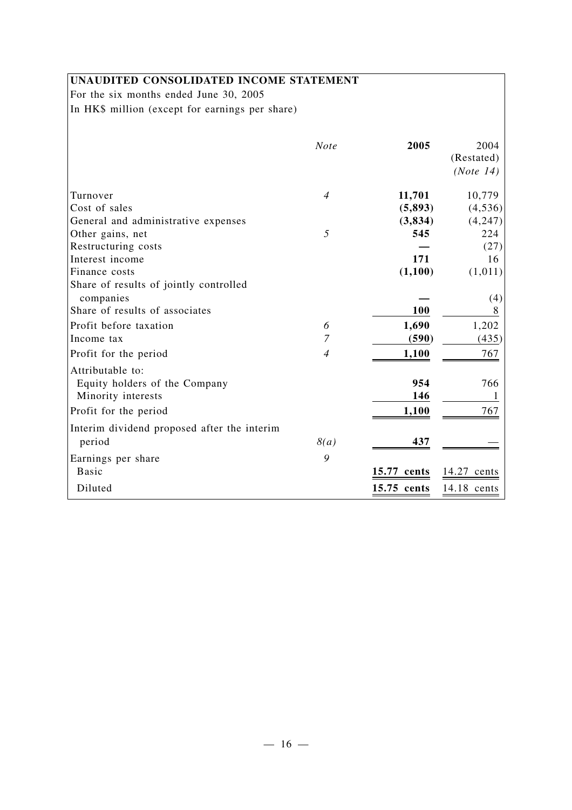# **UNAUDITED CONSOLIDATED INCOME STATEMENT**

For the six months ended June 30, 2005 In HK\$ million (except for earnings per share)

|                                             | <b>Note</b>    | 2005        | 2004<br>(Restated)<br>(Note 14) |
|---------------------------------------------|----------------|-------------|---------------------------------|
| Turnover                                    | $\overline{4}$ | 11,701      | 10,779                          |
| Cost of sales                               |                | (5,893)     | (4, 536)                        |
| General and administrative expenses         |                | (3, 834)    | (4,247)                         |
| Other gains, net                            | 5              | 545         | 224                             |
| Restructuring costs                         |                |             | (27)                            |
| Interest income                             |                | 171         | 16                              |
| Finance costs                               |                | (1,100)     | (1,011)                         |
| Share of results of jointly controlled      |                |             |                                 |
| companies                                   |                |             | (4)                             |
| Share of results of associates              |                | 100         |                                 |
| Profit before taxation                      | 6              | 1,690       | 1,202                           |
| Income tax                                  | 7              | (590)       | (435)                           |
| Profit for the period                       | $\overline{4}$ | 1,100       | 767                             |
| Attributable to:                            |                |             |                                 |
| Equity holders of the Company               |                | 954         | 766                             |
| Minority interests                          |                | 146         |                                 |
| Profit for the period                       |                | 1,100       | 767                             |
| Interim dividend proposed after the interim |                |             |                                 |
| period                                      | 8(a)           | 437         |                                 |
| Earnings per share                          | 9              |             |                                 |
| <b>Basic</b>                                |                | 15.77 cents | 14.27<br>cents                  |
| Diluted                                     |                | 15.75 cents | 14.18 cents                     |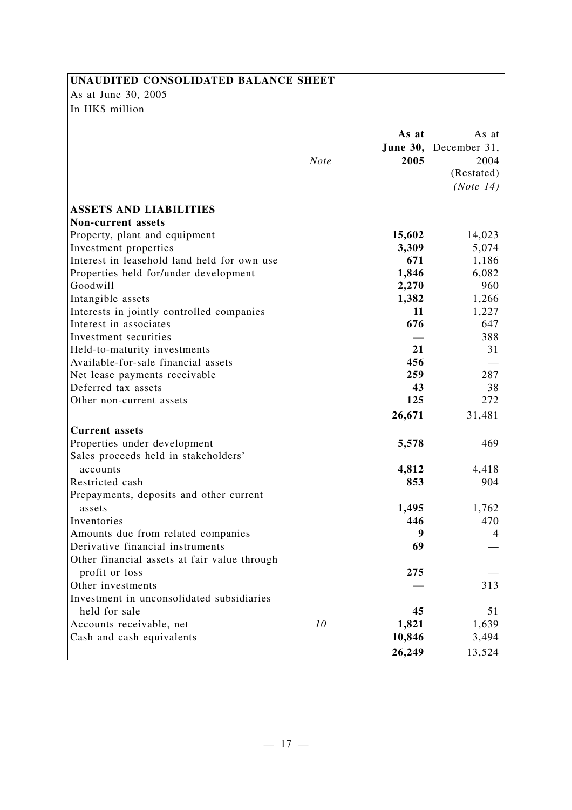# **UNAUDITED CONSOLIDATED BALANCE SHEET**

As at June 30, 2005 In HK\$ million

|                                                                     | <b>Note</b> | As at<br>2005 | As at<br>June 30, December 31,<br>2004<br>(Restated)<br>(Note 14) |
|---------------------------------------------------------------------|-------------|---------------|-------------------------------------------------------------------|
|                                                                     |             |               |                                                                   |
| <b>ASSETS AND LIABILITIES</b>                                       |             |               |                                                                   |
| <b>Non-current assets</b>                                           |             |               |                                                                   |
| Property, plant and equipment                                       |             | 15,602        | 14,023                                                            |
| Investment properties                                               |             | 3,309         | 5,074                                                             |
| Interest in leasehold land held for own use                         |             | 671           | 1,186                                                             |
| Properties held for/under development<br>Goodwill                   |             | 1,846         | 6,082                                                             |
|                                                                     |             | 2,270         | 960                                                               |
| Intangible assets                                                   |             | 1,382<br>11   | 1,266<br>1,227                                                    |
| Interests in jointly controlled companies<br>Interest in associates |             | 676           | 647                                                               |
| Investment securities                                               |             |               | 388                                                               |
| Held-to-maturity investments                                        |             | 21            | 31                                                                |
| Available-for-sale financial assets                                 |             | 456           |                                                                   |
| Net lease payments receivable                                       |             | 259           | 287                                                               |
| Deferred tax assets                                                 |             | 43            | 38                                                                |
| Other non-current assets                                            |             | 125           | 272                                                               |
|                                                                     |             | 26,671        | 31,481                                                            |
| <b>Current</b> assets                                               |             |               |                                                                   |
| Properties under development                                        |             | 5,578         | 469                                                               |
| Sales proceeds held in stakeholders'                                |             |               |                                                                   |
| accounts                                                            |             | 4,812         | 4,418                                                             |
| Restricted cash                                                     |             | 853           | 904                                                               |
| Prepayments, deposits and other current                             |             |               |                                                                   |
| assets                                                              |             | 1,495         | 1,762                                                             |
| Inventories                                                         |             | 446           | 470                                                               |
| Amounts due from related companies                                  |             | 9             | 4                                                                 |
| Derivative financial instruments                                    |             | 69            |                                                                   |
| Other financial assets at fair value through                        |             |               |                                                                   |
| profit or loss                                                      |             | 275           |                                                                   |
| Other investments                                                   |             |               | 313                                                               |
| Investment in unconsolidated subsidiaries                           |             |               |                                                                   |
| held for sale                                                       |             | 45            | 51                                                                |
| Accounts receivable, net                                            | 10          | 1,821         | 1,639                                                             |
| Cash and cash equivalents                                           |             | 10,846        | 3,494                                                             |
|                                                                     |             | 26,249        | 13,524                                                            |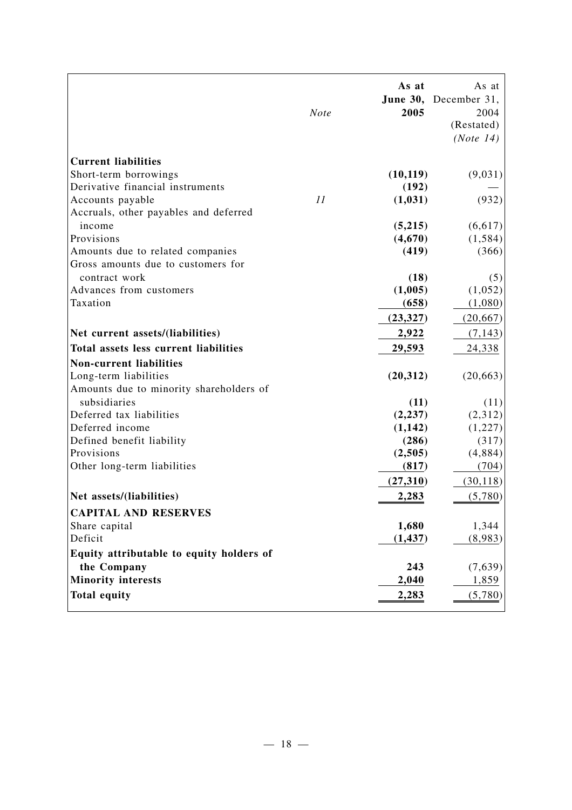|                                          | <b>Note</b> | As at<br>2005 | As at<br>June 30, December 31,<br>2004<br>(Restated)<br>(Note 14) |
|------------------------------------------|-------------|---------------|-------------------------------------------------------------------|
| <b>Current liabilities</b>               |             |               |                                                                   |
| Short-term borrowings                    |             | (10, 119)     | (9,031)                                                           |
| Derivative financial instruments         |             | (192)         |                                                                   |
| Accounts payable                         | 11          | (1, 031)      | (932)                                                             |
| Accruals, other payables and deferred    |             |               |                                                                   |
| income                                   |             | (5,215)       | (6,617)                                                           |
| Provisions                               |             | (4,670)       | (1, 584)                                                          |
| Amounts due to related companies         |             | (419)         | (366)                                                             |
| Gross amounts due to customers for       |             |               |                                                                   |
| contract work                            |             | (18)          | (5)                                                               |
| Advances from customers                  |             | (1,005)       | (1,052)                                                           |
| Taxation                                 |             | (658)         | (1,080)                                                           |
|                                          |             | (23, 327)     | (20, 667)                                                         |
| Net current assets/(liabilities)         |             | 2,922         | (7, 143)                                                          |
| Total assets less current liabilities    |             | 29,593        | 24,338                                                            |
| <b>Non-current liabilities</b>           |             |               |                                                                   |
| Long-term liabilities                    |             | (20, 312)     | (20, 663)                                                         |
| Amounts due to minority shareholders of  |             |               |                                                                   |
| subsidiaries                             |             | (11)          | (11)                                                              |
| Deferred tax liabilities                 |             | (2, 237)      | (2,312)                                                           |
| Deferred income                          |             | (1,142)       | (1,227)                                                           |
| Defined benefit liability                |             | (286)         | (317)                                                             |
| Provisions                               |             | (2,505)       | (4,884)                                                           |
| Other long-term liabilities              |             | (817)         | (704)                                                             |
|                                          |             | (27, 310)     | (30, 118)                                                         |
| Net assets/(liabilities)                 |             | 2,283         | (5,780)                                                           |
| <b>CAPITAL AND RESERVES</b>              |             |               |                                                                   |
| Share capital                            |             | 1,680         | 1,344                                                             |
| Deficit                                  |             | (1, 437)      | (8,983)                                                           |
| Equity attributable to equity holders of |             |               |                                                                   |
| the Company                              |             | 243           | (7,639)                                                           |
| <b>Minority interests</b>                |             | 2,040         | 1,859                                                             |
| <b>Total equity</b>                      |             | 2,283         | (5,780)                                                           |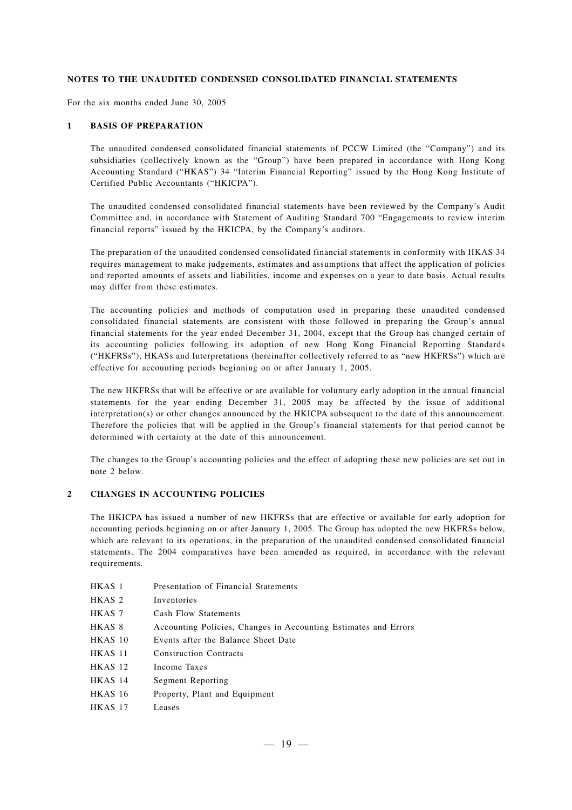#### **NOTES TO THE UNAUDITED CONDENSED CONSOLIDATED FINANCIAL STATEMENTS**

For the six months ended June 30, 2005

#### **1 BASIS OF PREPARATION**

The unaudited condensed consolidated financial statements of PCCW Limited (the "Company") and its subsidiaries (collectively known as the "Group") have been prepared in accordance with Hong Kong Accounting Standard ("HKAS") 34 "Interim Financial Reporting" issued by the Hong Kong Institute of Certified Public Accountants ("HKICPA").

The unaudited condensed consolidated financial statements have been reviewed by the Company's Audit Committee and, in accordance with Statement of Auditing Standard 700 "Engagements to review interim financial reports" issued by the HKICPA, by the Company's auditors.

The preparation of the unaudited condensed consolidated financial statements in conformity with HKAS 34 requires management to make judgements, estimates and assumptions that affect the application of policies and reported amounts of assets and liabilities, income and expenses on a year to date basis. Actual results may differ from these estimates.

The accounting policies and methods of computation used in preparing these unaudited condensed consolidated financial statements are consistent with those followed in preparing the Group's annual financial statements for the year ended December 31, 2004, except that the Group has changed certain of its accounting policies following its adoption of new Hong Kong Financial Reporting Standards ("HKFRSs"), HKASs and Interpretations (hereinafter collectively referred to as "new HKFRSs") which are effective for accounting periods beginning on or after January 1, 2005.

The new HKFRSs that will be effective or are available for voluntary early adoption in the annual financial statements for the year ending December 31, 2005 may be affected by the issue of additional interpretation(s) or other changes announced by the HKICPA subsequent to the date of this announcement. Therefore the policies that will be applied in the Group's financial statements for that period cannot be determined with certainty at the date of this announcement.

The changes to the Group's accounting policies and the effect of adopting these new policies are set out in note 2 below.

#### **2 CHANGES IN ACCOUNTING POLICIES**

The HKICPA has issued a number of new HKFRSs that are effective or available for early adoption for accounting periods beginning on or after January 1, 2005. The Group has adopted the new HKFRSs below, which are relevant to its operations, in the preparation of the unaudited condensed consolidated financial statements. The 2004 comparatives have been amended as required, in accordance with the relevant requirements.

- HKAS 1 Presentation of Financial Statements
- HKAS 2 Inventories
- HKAS 7 Cash Flow Statements
- HKAS 8 Accounting Policies, Changes in Accounting Estimates and Errors
- HKAS 10 Events after the Balance Sheet Date
- HKAS 11 Construction Contracts
- HKAS 12 Income Taxes
- HKAS 14 Segment Reporting
- HKAS 16 Property, Plant and Equipment
- HKAS 17 Leases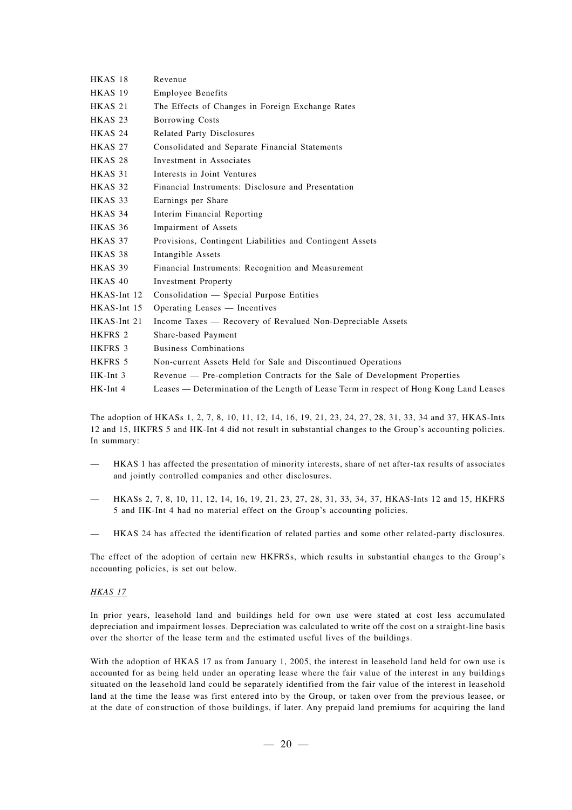| HKAS 18            | Revenue                                                                                |
|--------------------|----------------------------------------------------------------------------------------|
| <b>HKAS 19</b>     | <b>Employee Benefits</b>                                                               |
| HKAS <sub>21</sub> | The Effects of Changes in Foreign Exchange Rates                                       |
| HKAS <sub>23</sub> | <b>Borrowing Costs</b>                                                                 |
| HKAS 24            | Related Party Disclosures                                                              |
| HKAS 27            | Consolidated and Separate Financial Statements                                         |
| HKAS <sub>28</sub> | Investment in Associates                                                               |
| HKAS 31            | Interests in Joint Ventures                                                            |
| HKAS 32            | Financial Instruments: Disclosure and Presentation                                     |
| HKAS 33            | Earnings per Share                                                                     |
| HKAS 34            | Interim Financial Reporting                                                            |
| HKAS 36            | Impairment of Assets                                                                   |
| HKAS 37            | Provisions, Contingent Liabilities and Contingent Assets                               |
| HKAS 38            | Intangible Assets                                                                      |
| HKAS 39            | Financial Instruments: Recognition and Measurement                                     |
| HKAS 40            | <b>Investment Property</b>                                                             |
| HKAS-Int 12        | Consolidation - Special Purpose Entities                                               |
| HKAS-Int 15        | Operating Leases — Incentives                                                          |
| HKAS-Int 21        | Income Taxes — Recovery of Revalued Non-Depreciable Assets                             |
| HKFRS 2            | Share-based Payment                                                                    |
| HKFRS 3            | <b>Business Combinations</b>                                                           |
| HKFRS 5            | Non-current Assets Held for Sale and Discontinued Operations                           |
| $HK-Int$ 3         | Revenue - Pre-completion Contracts for the Sale of Development Properties              |
| HK-Int 4           | Leases — Determination of the Length of Lease Term in respect of Hong Kong Land Leases |

The adoption of HKASs 1, 2, 7, 8, 10, 11, 12, 14, 16, 19, 21, 23, 24, 27, 28, 31, 33, 34 and 37, HKAS-Ints 12 and 15, HKFRS 5 and HK-Int 4 did not result in substantial changes to the Group's accounting policies. In summary:

- HKAS 1 has affected the presentation of minority interests, share of net after-tax results of associates and jointly controlled companies and other disclosures.
- HKASs 2, 7, 8, 10, 11, 12, 14, 16, 19, 21, 23, 27, 28, 31, 33, 34, 37, HKAS-Ints 12 and 15, HKFRS 5 and HK-Int 4 had no material effect on the Group's accounting policies.
- HKAS 24 has affected the identification of related parties and some other related-party disclosures.

The effect of the adoption of certain new HKFRSs, which results in substantial changes to the Group's accounting policies, is set out below.

#### *HKAS 17*

In prior years, leasehold land and buildings held for own use were stated at cost less accumulated depreciation and impairment losses. Depreciation was calculated to write off the cost on a straight-line basis over the shorter of the lease term and the estimated useful lives of the buildings.

With the adoption of HKAS 17 as from January 1, 2005, the interest in leasehold land held for own use is accounted for as being held under an operating lease where the fair value of the interest in any buildings situated on the leasehold land could be separately identified from the fair value of the interest in leasehold land at the time the lease was first entered into by the Group, or taken over from the previous leasee, or at the date of construction of those buildings, if later. Any prepaid land premiums for acquiring the land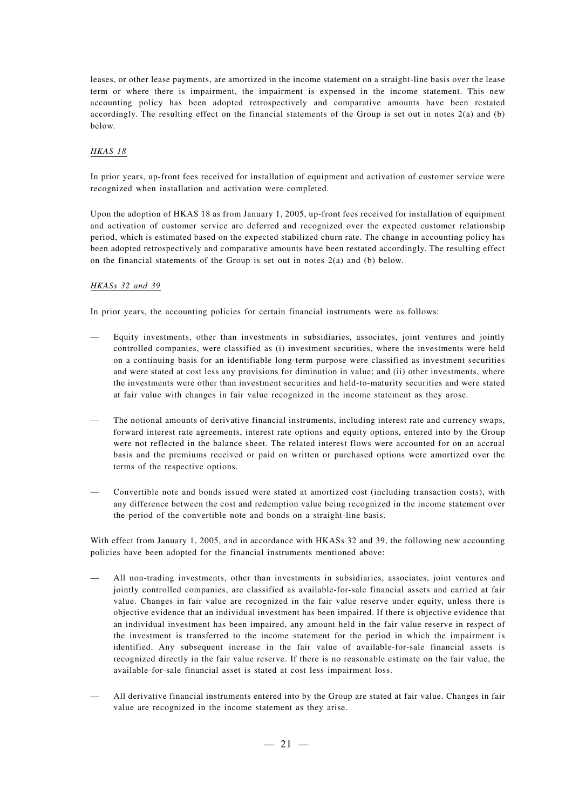leases, or other lease payments, are amortized in the income statement on a straight-line basis over the lease term or where there is impairment, the impairment is expensed in the income statement. This new accounting policy has been adopted retrospectively and comparative amounts have been restated accordingly. The resulting effect on the financial statements of the Group is set out in notes 2(a) and (b) below.

#### *HKAS 18*

In prior years, up-front fees received for installation of equipment and activation of customer service were recognized when installation and activation were completed.

Upon the adoption of HKAS 18 as from January 1, 2005, up-front fees received for installation of equipment and activation of customer service are deferred and recognized over the expected customer relationship period, which is estimated based on the expected stabilized churn rate. The change in accounting policy has been adopted retrospectively and comparative amounts have been restated accordingly. The resulting effect on the financial statements of the Group is set out in notes 2(a) and (b) below.

#### *HKASs 32 and 39*

In prior years, the accounting policies for certain financial instruments were as follows:

- Equity investments, other than investments in subsidiaries, associates, joint ventures and jointly controlled companies, were classified as (i) investment securities, where the investments were held on a continuing basis for an identifiable long-term purpose were classified as investment securities and were stated at cost less any provisions for diminution in value; and (ii) other investments, where the investments were other than investment securities and held-to-maturity securities and were stated at fair value with changes in fair value recognized in the income statement as they arose.
- The notional amounts of derivative financial instruments, including interest rate and currency swaps, forward interest rate agreements, interest rate options and equity options, entered into by the Group were not reflected in the balance sheet. The related interest flows were accounted for on an accrual basis and the premiums received or paid on written or purchased options were amortized over the terms of the respective options.
- Convertible note and bonds issued were stated at amortized cost (including transaction costs), with any difference between the cost and redemption value being recognized in the income statement over the period of the convertible note and bonds on a straight-line basis.

With effect from January 1, 2005, and in accordance with HKASs 32 and 39, the following new accounting policies have been adopted for the financial instruments mentioned above:

- All non-trading investments, other than investments in subsidiaries, associates, joint ventures and jointly controlled companies, are classified as available-for-sale financial assets and carried at fair value. Changes in fair value are recognized in the fair value reserve under equity, unless there is objective evidence that an individual investment has been impaired. If there is objective evidence that an individual investment has been impaired, any amount held in the fair value reserve in respect of the investment is transferred to the income statement for the period in which the impairment is identified. Any subsequent increase in the fair value of available-for-sale financial assets is recognized directly in the fair value reserve. If there is no reasonable estimate on the fair value, the available-for-sale financial asset is stated at cost less impairment loss.
- All derivative financial instruments entered into by the Group are stated at fair value. Changes in fair value are recognized in the income statement as they arise.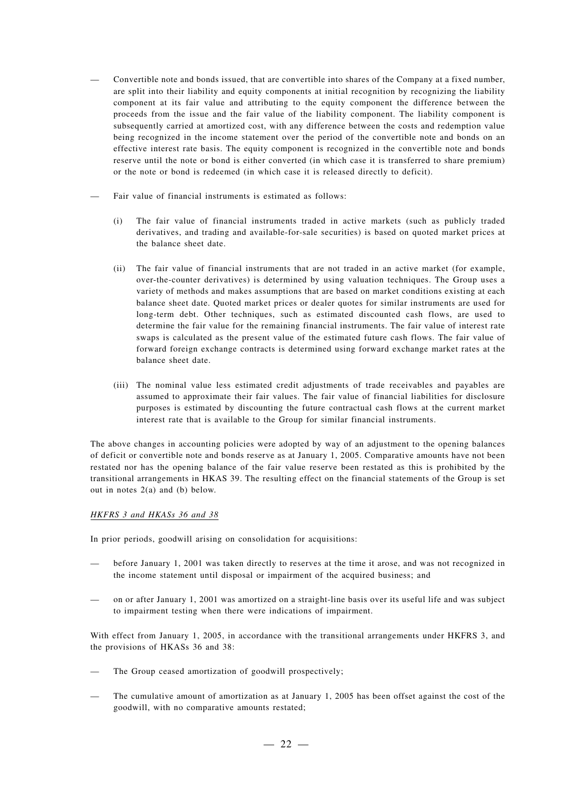- Convertible note and bonds issued, that are convertible into shares of the Company at a fixed number, are split into their liability and equity components at initial recognition by recognizing the liability component at its fair value and attributing to the equity component the difference between the proceeds from the issue and the fair value of the liability component. The liability component is subsequently carried at amortized cost, with any difference between the costs and redemption value being recognized in the income statement over the period of the convertible note and bonds on an effective interest rate basis. The equity component is recognized in the convertible note and bonds reserve until the note or bond is either converted (in which case it is transferred to share premium) or the note or bond is redeemed (in which case it is released directly to deficit).
- Fair value of financial instruments is estimated as follows:
	- (i) The fair value of financial instruments traded in active markets (such as publicly traded derivatives, and trading and available-for-sale securities) is based on quoted market prices at the balance sheet date.
	- (ii) The fair value of financial instruments that are not traded in an active market (for example, over-the-counter derivatives) is determined by using valuation techniques. The Group uses a variety of methods and makes assumptions that are based on market conditions existing at each balance sheet date. Quoted market prices or dealer quotes for similar instruments are used for long-term debt. Other techniques, such as estimated discounted cash flows, are used to determine the fair value for the remaining financial instruments. The fair value of interest rate swaps is calculated as the present value of the estimated future cash flows. The fair value of forward foreign exchange contracts is determined using forward exchange market rates at the balance sheet date.
	- (iii) The nominal value less estimated credit adjustments of trade receivables and payables are assumed to approximate their fair values. The fair value of financial liabilities for disclosure purposes is estimated by discounting the future contractual cash flows at the current market interest rate that is available to the Group for similar financial instruments.

The above changes in accounting policies were adopted by way of an adjustment to the opening balances of deficit or convertible note and bonds reserve as at January 1, 2005. Comparative amounts have not been restated nor has the opening balance of the fair value reserve been restated as this is prohibited by the transitional arrangements in HKAS 39. The resulting effect on the financial statements of the Group is set out in notes 2(a) and (b) below.

#### *HKFRS 3 and HKASs 36 and 38*

In prior periods, goodwill arising on consolidation for acquisitions:

- before January 1, 2001 was taken directly to reserves at the time it arose, and was not recognized in the income statement until disposal or impairment of the acquired business; and
- on or after January 1, 2001 was amortized on a straight-line basis over its useful life and was subject to impairment testing when there were indications of impairment.

With effect from January 1, 2005, in accordance with the transitional arrangements under HKFRS 3, and the provisions of HKASs 36 and 38:

- The Group ceased amortization of goodwill prospectively;
- The cumulative amount of amortization as at January 1, 2005 has been offset against the cost of the goodwill, with no comparative amounts restated;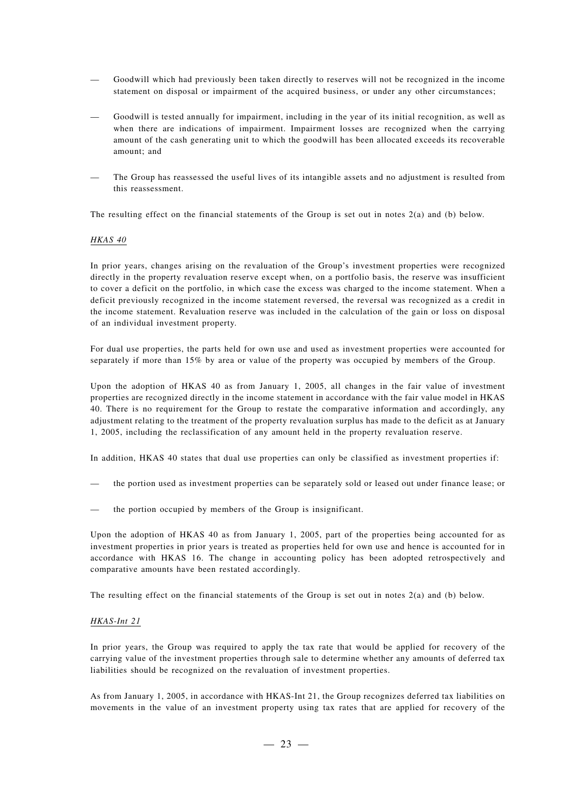- Goodwill which had previously been taken directly to reserves will not be recognized in the income statement on disposal or impairment of the acquired business, or under any other circumstances;
- Goodwill is tested annually for impairment, including in the year of its initial recognition, as well as when there are indications of impairment. Impairment losses are recognized when the carrying amount of the cash generating unit to which the goodwill has been allocated exceeds its recoverable amount; and
- The Group has reassessed the useful lives of its intangible assets and no adjustment is resulted from this reassessment.

The resulting effect on the financial statements of the Group is set out in notes 2(a) and (b) below.

#### *HKAS 40*

In prior years, changes arising on the revaluation of the Group's investment properties were recognized directly in the property revaluation reserve except when, on a portfolio basis, the reserve was insufficient to cover a deficit on the portfolio, in which case the excess was charged to the income statement. When a deficit previously recognized in the income statement reversed, the reversal was recognized as a credit in the income statement. Revaluation reserve was included in the calculation of the gain or loss on disposal of an individual investment property.

For dual use properties, the parts held for own use and used as investment properties were accounted for separately if more than 15% by area or value of the property was occupied by members of the Group.

Upon the adoption of HKAS 40 as from January 1, 2005, all changes in the fair value of investment properties are recognized directly in the income statement in accordance with the fair value model in HKAS 40. There is no requirement for the Group to restate the comparative information and accordingly, any adjustment relating to the treatment of the property revaluation surplus has made to the deficit as at January 1, 2005, including the reclassification of any amount held in the property revaluation reserve.

In addition, HKAS 40 states that dual use properties can only be classified as investment properties if:

- the portion used as investment properties can be separately sold or leased out under finance lease; or
- the portion occupied by members of the Group is insignificant.

Upon the adoption of HKAS 40 as from January 1, 2005, part of the properties being accounted for as investment properties in prior years is treated as properties held for own use and hence is accounted for in accordance with HKAS 16. The change in accounting policy has been adopted retrospectively and comparative amounts have been restated accordingly.

The resulting effect on the financial statements of the Group is set out in notes 2(a) and (b) below.

#### *HKAS-Int 21*

In prior years, the Group was required to apply the tax rate that would be applied for recovery of the carrying value of the investment properties through sale to determine whether any amounts of deferred tax liabilities should be recognized on the revaluation of investment properties.

As from January 1, 2005, in accordance with HKAS-Int 21, the Group recognizes deferred tax liabilities on movements in the value of an investment property using tax rates that are applied for recovery of the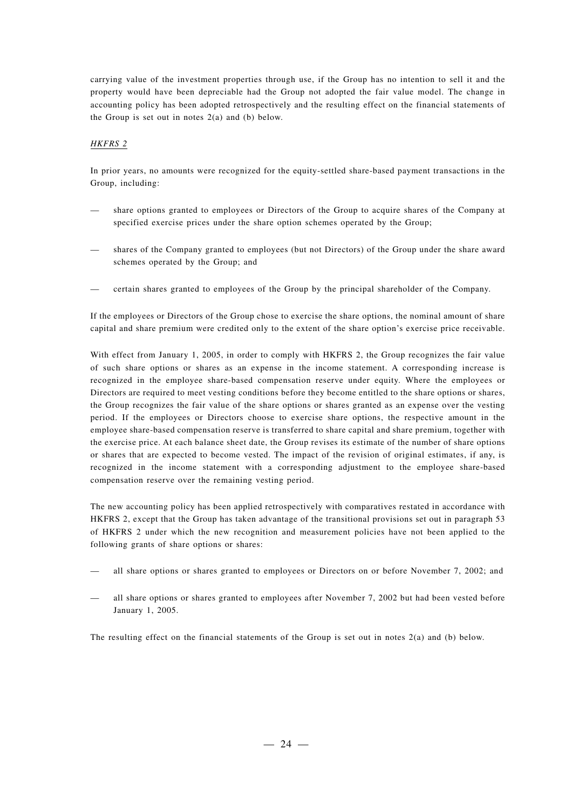carrying value of the investment properties through use, if the Group has no intention to sell it and the property would have been depreciable had the Group not adopted the fair value model. The change in accounting policy has been adopted retrospectively and the resulting effect on the financial statements of the Group is set out in notes 2(a) and (b) below.

### *HKFRS 2*

In prior years, no amounts were recognized for the equity-settled share-based payment transactions in the Group, including:

- share options granted to employees or Directors of the Group to acquire shares of the Company at specified exercise prices under the share option schemes operated by the Group;
- shares of the Company granted to employees (but not Directors) of the Group under the share award schemes operated by the Group; and
- certain shares granted to employees of the Group by the principal shareholder of the Company.

If the employees or Directors of the Group chose to exercise the share options, the nominal amount of share capital and share premium were credited only to the extent of the share option's exercise price receivable.

With effect from January 1, 2005, in order to comply with HKFRS 2, the Group recognizes the fair value of such share options or shares as an expense in the income statement. A corresponding increase is recognized in the employee share-based compensation reserve under equity. Where the employees or Directors are required to meet vesting conditions before they become entitled to the share options or shares, the Group recognizes the fair value of the share options or shares granted as an expense over the vesting period. If the employees or Directors choose to exercise share options, the respective amount in the employee share-based compensation reserve is transferred to share capital and share premium, together with the exercise price. At each balance sheet date, the Group revises its estimate of the number of share options or shares that are expected to become vested. The impact of the revision of original estimates, if any, is recognized in the income statement with a corresponding adjustment to the employee share-based compensation reserve over the remaining vesting period.

The new accounting policy has been applied retrospectively with comparatives restated in accordance with HKFRS 2, except that the Group has taken advantage of the transitional provisions set out in paragraph 53 of HKFRS 2 under which the new recognition and measurement policies have not been applied to the following grants of share options or shares:

- all share options or shares granted to employees or Directors on or before November 7, 2002; and
- all share options or shares granted to employees after November 7, 2002 but had been vested before January 1, 2005.

The resulting effect on the financial statements of the Group is set out in notes 2(a) and (b) below.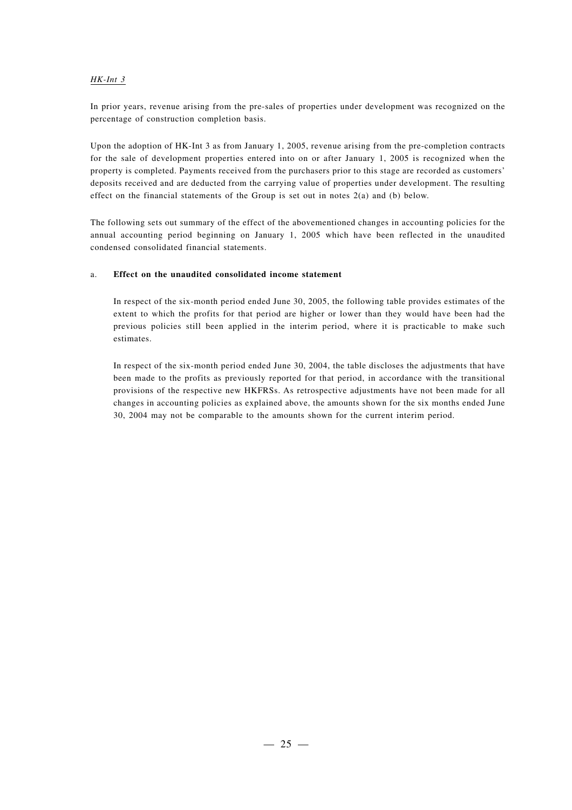#### *HK-Int 3*

In prior years, revenue arising from the pre-sales of properties under development was recognized on the percentage of construction completion basis.

Upon the adoption of HK-Int 3 as from January 1, 2005, revenue arising from the pre-completion contracts for the sale of development properties entered into on or after January 1, 2005 is recognized when the property is completed. Payments received from the purchasers prior to this stage are recorded as customers' deposits received and are deducted from the carrying value of properties under development. The resulting effect on the financial statements of the Group is set out in notes 2(a) and (b) below.

The following sets out summary of the effect of the abovementioned changes in accounting policies for the annual accounting period beginning on January 1, 2005 which have been reflected in the unaudited condensed consolidated financial statements.

#### a. **Effect on the unaudited consolidated income statement**

In respect of the six-month period ended June 30, 2005, the following table provides estimates of the extent to which the profits for that period are higher or lower than they would have been had the previous policies still been applied in the interim period, where it is practicable to make such estimates.

In respect of the six-month period ended June 30, 2004, the table discloses the adjustments that have been made to the profits as previously reported for that period, in accordance with the transitional provisions of the respective new HKFRSs. As retrospective adjustments have not been made for all changes in accounting policies as explained above, the amounts shown for the six months ended June 30, 2004 may not be comparable to the amounts shown for the current interim period.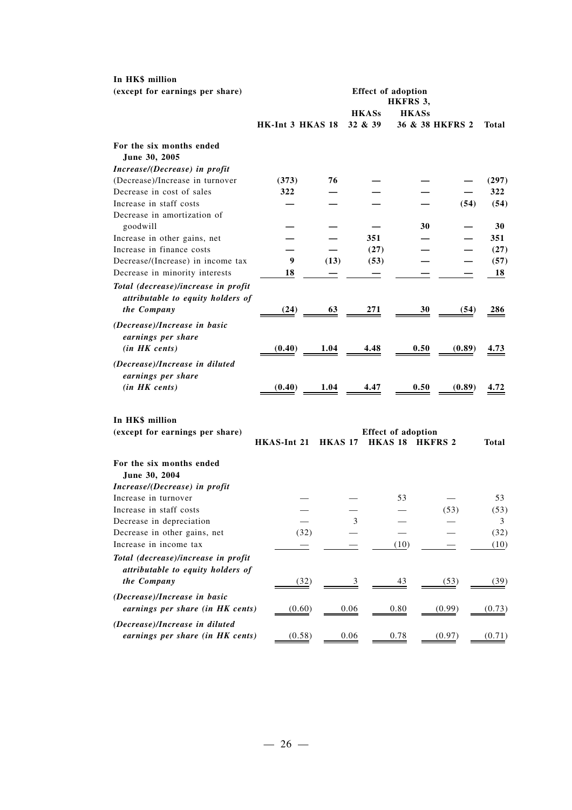| In HK\$ million                     |                  |                |                         |                           |                 |              |
|-------------------------------------|------------------|----------------|-------------------------|---------------------------|-----------------|--------------|
| (except for earnings per share)     |                  |                |                         | <b>Effect of adoption</b> |                 |              |
|                                     |                  |                |                         | HKFRS 3,                  |                 |              |
|                                     | HK-Int 3 HKAS 18 |                | <b>HKASs</b><br>32 & 39 | <b>HKASs</b>              | 36 & 38 HKFRS 2 | Total        |
|                                     |                  |                |                         |                           |                 |              |
| For the six months ended            |                  |                |                         |                           |                 |              |
| June 30, 2005                       |                  |                |                         |                           |                 |              |
| Increase/(Decrease) in profit       |                  |                |                         |                           |                 |              |
| (Decrease)/Increase in turnover     | (373)            | 76             |                         |                           |                 | (297)        |
| Decrease in cost of sales           | 322              |                |                         |                           |                 | 322          |
| Increase in staff costs             |                  |                |                         |                           | (54)            | (54)         |
| Decrease in amortization of         |                  |                |                         |                           |                 |              |
| goodwill                            |                  |                |                         | 30                        |                 | 30           |
| Increase in other gains, net        |                  |                | 351                     |                           |                 | 351          |
| Increase in finance costs           |                  |                | (27)                    |                           |                 | (27)         |
| Decrease/(Increase) in income tax   | 9                | (13)           | (53)                    |                           |                 | (57)         |
| Decrease in minority interests      | 18               |                |                         |                           |                 | 18           |
| Total (decrease)/increase in profit |                  |                |                         |                           |                 |              |
| attributable to equity holders of   |                  |                |                         |                           |                 |              |
| the Company                         | (24)             | 63             | 271                     | 30                        | (54)            | 286          |
|                                     |                  |                |                         |                           |                 |              |
| (Decrease)/Increase in basic        |                  |                |                         |                           |                 |              |
| earnings per share                  |                  |                |                         |                           |                 |              |
| (in HK cents)                       | (0.40)           | 1.04           | 4.48                    | 0.50                      | (0.89)          | 4.73         |
| (Decrease)/Increase in diluted      |                  |                |                         |                           |                 |              |
| earnings per share                  |                  |                |                         |                           |                 |              |
| (in HK cents)                       | (0.40)           | 1.04           | 4.47                    | 0.50                      | (0.89)          | 4.72         |
|                                     |                  |                |                         |                           |                 |              |
| In HK\$ million                     |                  |                |                         |                           |                 |              |
| (except for earnings per share)     |                  |                |                         | <b>Effect of adoption</b> |                 |              |
|                                     | HKAS-Int 21      | <b>HKAS 17</b> |                         | HKAS 18 HKFRS 2           |                 | <b>Total</b> |
|                                     |                  |                |                         |                           |                 |              |
| For the six months ended            |                  |                |                         |                           |                 |              |
| June 30, 2004                       |                  |                |                         |                           |                 |              |
| Increase/(Decrease) in profit       |                  |                |                         |                           |                 |              |
| Increase in turnover                |                  |                |                         | 53                        |                 | 53           |
| Increase in staff costs             |                  |                |                         |                           | (53)            | (53)         |
| Decrease in depreciation            |                  |                | 3                       |                           |                 | 3            |
| Decrease in other gains, net        | (32)             |                |                         |                           |                 | (32)         |
| Increase in income tax              |                  |                |                         | (10)                      |                 | (10)         |
| Total (decrease)/increase in profit |                  |                |                         |                           |                 |              |
| attributable to equity holders of   |                  |                |                         |                           |                 |              |
| the Company                         |                  |                |                         |                           |                 |              |
|                                     | (32)             |                | $\overline{3}$          | $\frac{43}{5}$            | (53)            | (39)         |
| (Decrease)/Increase in basic        |                  |                |                         |                           |                 |              |
| earnings per share (in HK cents)    | (0.60)           |                | 0.06                    | 0.80                      | (0.99)          | (0.73)       |
| (Decrease)/Increase in diluted      |                  |                |                         |                           |                 |              |
| earnings per share (in HK cents)    | (0.58)           |                | 0.06                    | 0.78                      | (0.97)          | (0.71)       |
|                                     |                  |                |                         |                           |                 |              |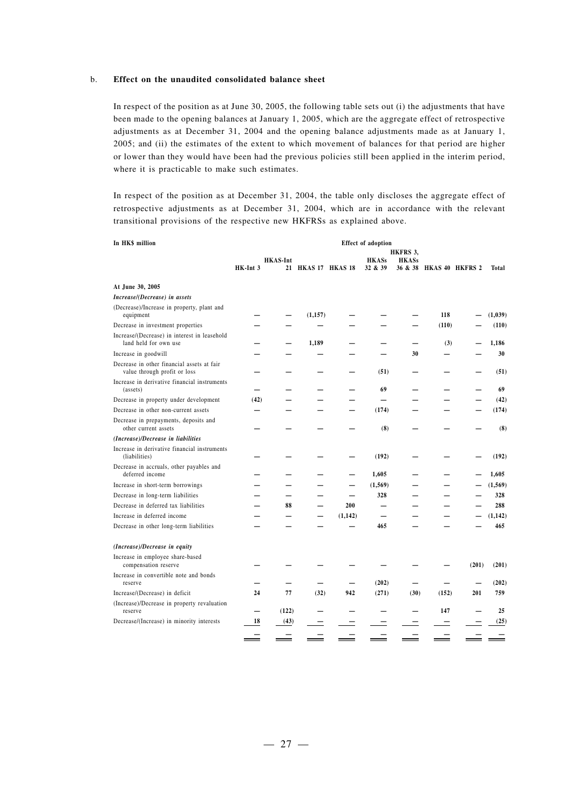#### b. **Effect on the unaudited consolidated balance sheet**

In respect of the position as at June 30, 2005, the following table sets out (i) the adjustments that have been made to the opening balances at January 1, 2005, which are the aggregate effect of retrospective adjustments as at December 31, 2004 and the opening balance adjustments made as at January 1, 2005; and (ii) the estimates of the extent to which movement of balances for that period are higher or lower than they would have been had the previous policies still been applied in the interim period, where it is practicable to make such estimates.

In respect of the position as at December 31, 2004, the table only discloses the aggregate effect of retrospective adjustments as at December 31, 2004, which are in accordance with the relevant transitional provisions of the respective new HKFRSs as explained above.

| In HK\$ million                                                            |          |                          |                    |                          | <b>Effect of adoption</b> |              |                         |       |          |
|----------------------------------------------------------------------------|----------|--------------------------|--------------------|--------------------------|---------------------------|--------------|-------------------------|-------|----------|
|                                                                            |          |                          |                    |                          |                           | HKFRS 3,     |                         |       |          |
|                                                                            | HK-Int 3 | <b>HKAS-Int</b>          | 21 HKAS 17 HKAS 18 |                          | <b>HKASs</b><br>32 & 39   | <b>HKASs</b> | 36 & 38 HKAS 40 HKFRS 2 |       | Total    |
| At June 30, 2005                                                           |          |                          |                    |                          |                           |              |                         |       |          |
| Increase/(Decrease) in assets                                              |          |                          |                    |                          |                           |              |                         |       |          |
| (Decrease)/Increase in property, plant and<br>equipment                    |          |                          | (1,157)            |                          |                           |              | 118                     |       | (1,039)  |
| Decrease in investment properties                                          |          |                          |                    |                          |                           |              | (110)                   |       | (110)    |
| Increase/(Decrease) in interest in leasehold<br>land held for own use      |          |                          | 1,189              |                          |                           |              | (3)                     |       | 1,186    |
| Increase in goodwill                                                       |          |                          |                    |                          |                           | 30           |                         |       | 30       |
| Decrease in other financial assets at fair<br>value through profit or loss |          |                          |                    |                          | (51)                      |              |                         |       | (51)     |
| Increase in derivative financial instruments<br>(assets)                   |          |                          |                    |                          | 69                        |              |                         |       | 69       |
| Decrease in property under development                                     | (42)     |                          |                    |                          |                           |              |                         |       | (42)     |
| Decrease in other non-current assets                                       |          |                          |                    |                          | (174)                     |              |                         |       | (174)    |
| Decrease in prepayments, deposits and<br>other current assets              |          |                          |                    |                          | (8)                       |              |                         |       | (8)      |
| (Increase)/Decrease in liabilities                                         |          |                          |                    |                          |                           |              |                         |       |          |
| Increase in derivative financial instruments<br>(liabilities)              |          |                          |                    |                          | (192)                     |              |                         |       | (192)    |
| Decrease in accruals, other payables and<br>deferred income                |          |                          |                    | —                        | 1,605                     |              |                         |       | 1,605    |
| Increase in short-term borrowings                                          |          |                          |                    |                          | (1, 569)                  |              |                         |       | (1, 569) |
| Decrease in long-term liabilities                                          |          | $\overline{\phantom{0}}$ |                    | $\overline{\phantom{0}}$ | 328                       |              |                         |       | 328      |
| Decrease in deferred tax liabilities                                       |          | 88                       |                    | 200                      |                           |              |                         |       | 288      |
| Increase in deferred income                                                |          |                          |                    | (1,142)                  |                           |              |                         |       | (1, 142) |
| Decrease in other long-term liabilities                                    |          |                          |                    |                          | 465                       |              |                         |       | 465      |
| (Increase)/Decrease in equity                                              |          |                          |                    |                          |                           |              |                         |       |          |
| Increase in employee share-based<br>compensation reserve                   |          |                          |                    |                          |                           |              |                         | (201) | (201)    |
| Increase in convertible note and bonds<br>reserve                          |          |                          |                    |                          | (202)                     |              |                         |       | (202)    |
| Increase/(Decrease) in deficit                                             | 24       | 77                       | (32)               | 942                      | (271)                     | (30)         | (152)                   | 201   | 759      |
| (Increase)/Decrease in property revaluation<br>reserve                     |          | (122)                    |                    |                          |                           |              | 147                     |       | 25       |
| Decrease/(Increase) in minority interests                                  | 18       | (43)                     |                    |                          |                           |              |                         |       | (25)     |
|                                                                            |          |                          |                    |                          |                           |              |                         |       |          |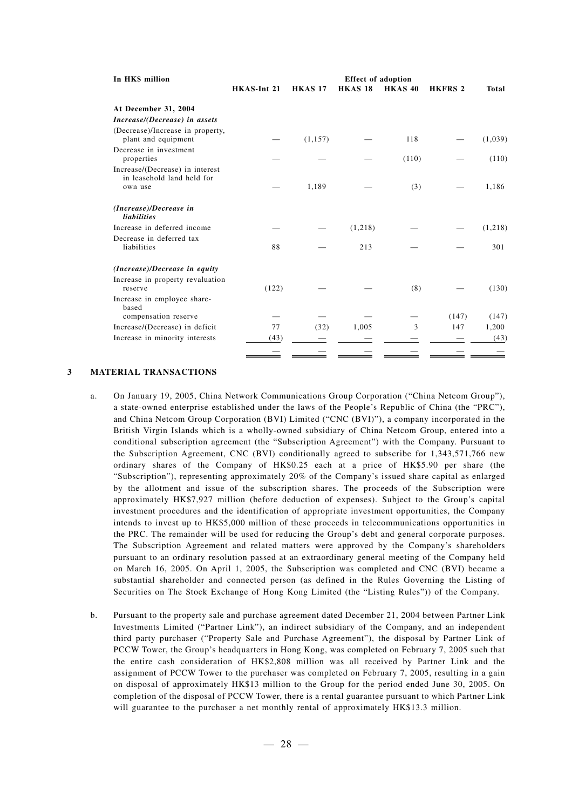| In HK\$ million                                                          | <b>Effect of adoption</b> |                |                |                |                |         |  |  |
|--------------------------------------------------------------------------|---------------------------|----------------|----------------|----------------|----------------|---------|--|--|
|                                                                          | HKAS-Int 21               | <b>HKAS 17</b> | <b>HKAS 18</b> | <b>HKAS 40</b> | <b>HKFRS 2</b> | Total   |  |  |
| At December 31, 2004                                                     |                           |                |                |                |                |         |  |  |
| Increase/(Decrease) in assets                                            |                           |                |                |                |                |         |  |  |
| (Decrease)/Increase in property,<br>plant and equipment                  |                           | (1, 157)       |                | 118            |                | (1,039) |  |  |
| Decrease in investment<br>properties                                     |                           |                |                | (110)          |                | (110)   |  |  |
| Increase/(Decrease) in interest<br>in leasehold land held for<br>own use |                           | 1,189          |                | (3)            |                | 1,186   |  |  |
| (Increase)/Decrease in<br><i>liabilities</i>                             |                           |                |                |                |                |         |  |  |
| Increase in deferred income                                              |                           |                | (1,218)        |                |                | (1,218) |  |  |
| Decrease in deferred tax<br>liabilities                                  | 88                        |                | 213            |                |                | 301     |  |  |
| (Increase)/Decrease in equity                                            |                           |                |                |                |                |         |  |  |
| Increase in property revaluation<br>reserve                              | (122)                     |                |                | (8)            |                | (130)   |  |  |
| Increase in employee share-<br>based                                     |                           |                |                |                |                |         |  |  |
| compensation reserve                                                     |                           |                |                |                | (147)          | (147)   |  |  |
| Increase/(Decrease) in deficit                                           | 77                        | (32)           | 1,005          | 3              | 147            | 1,200   |  |  |
| Increase in minority interests                                           | (43)                      |                |                |                |                | (43)    |  |  |
|                                                                          |                           |                |                |                |                |         |  |  |

#### **3 MATERIAL TRANSACTIONS**

- a. On January 19, 2005, China Network Communications Group Corporation ("China Netcom Group"), a state-owned enterprise established under the laws of the People's Republic of China (the "PRC"), and China Netcom Group Corporation (BVI) Limited ("CNC (BVI)"), a company incorporated in the British Virgin Islands which is a wholly-owned subsidiary of China Netcom Group, entered into a conditional subscription agreement (the "Subscription Agreement") with the Company. Pursuant to the Subscription Agreement, CNC (BVI) conditionally agreed to subscribe for 1,343,571,766 new ordinary shares of the Company of HK\$0.25 each at a price of HK\$5.90 per share (the "Subscription"), representing approximately 20% of the Company's issued share capital as enlarged by the allotment and issue of the subscription shares. The proceeds of the Subscription were approximately HK\$7,927 million (before deduction of expenses). Subject to the Group's capital investment procedures and the identification of appropriate investment opportunities, the Company intends to invest up to HK\$5,000 million of these proceeds in telecommunications opportunities in the PRC. The remainder will be used for reducing the Group's debt and general corporate purposes. The Subscription Agreement and related matters were approved by the Company's shareholders pursuant to an ordinary resolution passed at an extraordinary general meeting of the Company held on March 16, 2005. On April 1, 2005, the Subscription was completed and CNC (BVI) became a substantial shareholder and connected person (as defined in the Rules Governing the Listing of Securities on The Stock Exchange of Hong Kong Limited (the "Listing Rules")) of the Company.
- b. Pursuant to the property sale and purchase agreement dated December 21, 2004 between Partner Link Investments Limited ("Partner Link"), an indirect subsidiary of the Company, and an independent third party purchaser ("Property Sale and Purchase Agreement"), the disposal by Partner Link of PCCW Tower, the Group's headquarters in Hong Kong, was completed on February 7, 2005 such that the entire cash consideration of HK\$2,808 million was all received by Partner Link and the assignment of PCCW Tower to the purchaser was completed on February 7, 2005, resulting in a gain on disposal of approximately HK\$13 million to the Group for the period ended June 30, 2005. On completion of the disposal of PCCW Tower, there is a rental guarantee pursuant to which Partner Link will guarantee to the purchaser a net monthly rental of approximately HK\$13.3 million.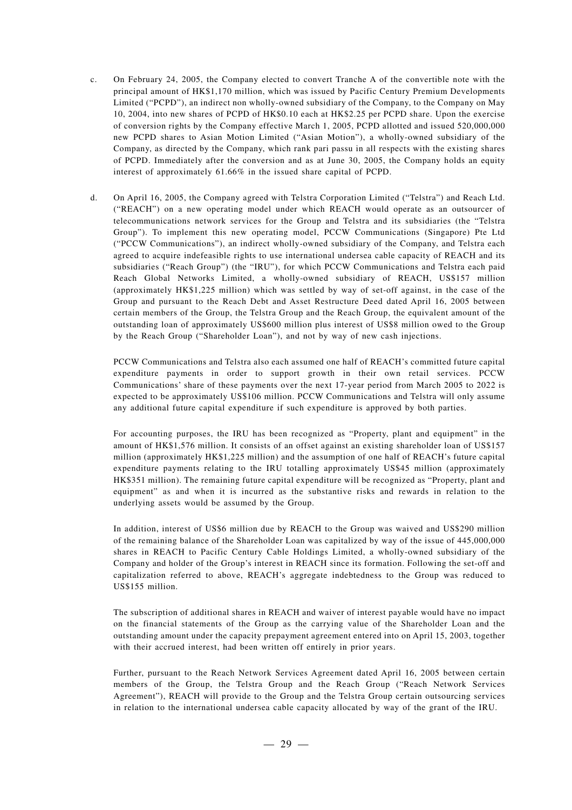- c. On February 24, 2005, the Company elected to convert Tranche A of the convertible note with the principal amount of HK\$1,170 million, which was issued by Pacific Century Premium Developments Limited ("PCPD"), an indirect non wholly-owned subsidiary of the Company, to the Company on May 10, 2004, into new shares of PCPD of HK\$0.10 each at HK\$2.25 per PCPD share. Upon the exercise of conversion rights by the Company effective March 1, 2005, PCPD allotted and issued 520,000,000 new PCPD shares to Asian Motion Limited ("Asian Motion"), a wholly-owned subsidiary of the Company, as directed by the Company, which rank pari passu in all respects with the existing shares of PCPD. Immediately after the conversion and as at June 30, 2005, the Company holds an equity interest of approximately 61.66% in the issued share capital of PCPD.
- d. On April 16, 2005, the Company agreed with Telstra Corporation Limited ("Telstra") and Reach Ltd. ("REACH") on a new operating model under which REACH would operate as an outsourcer of telecommunications network services for the Group and Telstra and its subsidiaries (the "Telstra Group"). To implement this new operating model, PCCW Communications (Singapore) Pte Ltd ("PCCW Communications"), an indirect wholly-owned subsidiary of the Company, and Telstra each agreed to acquire indefeasible rights to use international undersea cable capacity of REACH and its subsidiaries ("Reach Group") (the "IRU"), for which PCCW Communications and Telstra each paid Reach Global Networks Limited, a wholly-owned subsidiary of REACH, US\$157 million (approximately HK\$1,225 million) which was settled by way of set-off against, in the case of the Group and pursuant to the Reach Debt and Asset Restructure Deed dated April 16, 2005 between certain members of the Group, the Telstra Group and the Reach Group, the equivalent amount of the outstanding loan of approximately US\$600 million plus interest of US\$8 million owed to the Group by the Reach Group ("Shareholder Loan"), and not by way of new cash injections.

PCCW Communications and Telstra also each assumed one half of REACH's committed future capital expenditure payments in order to support growth in their own retail services. PCCW Communications' share of these payments over the next 17-year period from March 2005 to 2022 is expected to be approximately US\$106 million. PCCW Communications and Telstra will only assume any additional future capital expenditure if such expenditure is approved by both parties.

For accounting purposes, the IRU has been recognized as "Property, plant and equipment" in the amount of HK\$1,576 million. It consists of an offset against an existing shareholder loan of US\$157 million (approximately HK\$1,225 million) and the assumption of one half of REACH's future capital expenditure payments relating to the IRU totalling approximately US\$45 million (approximately HK\$351 million). The remaining future capital expenditure will be recognized as "Property, plant and equipment" as and when it is incurred as the substantive risks and rewards in relation to the underlying assets would be assumed by the Group.

In addition, interest of US\$6 million due by REACH to the Group was waived and US\$290 million of the remaining balance of the Shareholder Loan was capitalized by way of the issue of 445,000,000 shares in REACH to Pacific Century Cable Holdings Limited, a wholly-owned subsidiary of the Company and holder of the Group's interest in REACH since its formation. Following the set-off and capitalization referred to above, REACH's aggregate indebtedness to the Group was reduced to US\$155 million.

The subscription of additional shares in REACH and waiver of interest payable would have no impact on the financial statements of the Group as the carrying value of the Shareholder Loan and the outstanding amount under the capacity prepayment agreement entered into on April 15, 2003, together with their accrued interest, had been written off entirely in prior years.

Further, pursuant to the Reach Network Services Agreement dated April 16, 2005 between certain members of the Group, the Telstra Group and the Reach Group ("Reach Network Services Agreement"), REACH will provide to the Group and the Telstra Group certain outsourcing services in relation to the international undersea cable capacity allocated by way of the grant of the IRU.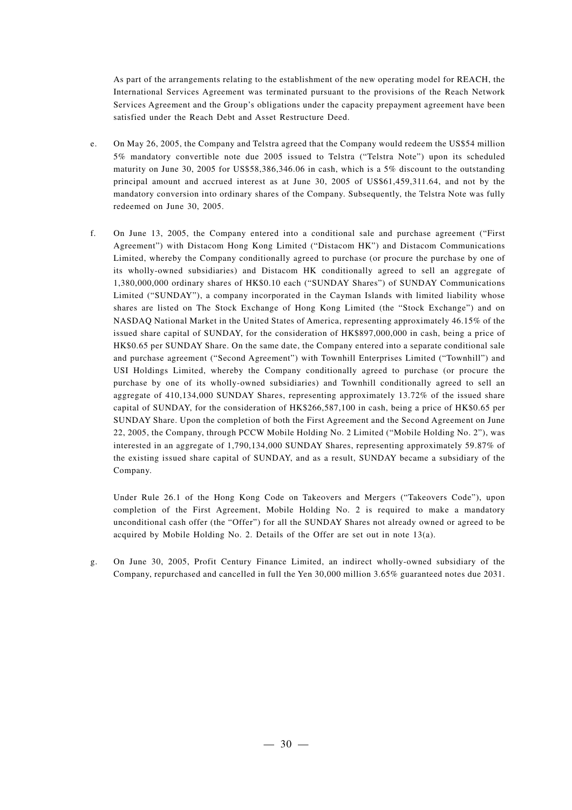As part of the arrangements relating to the establishment of the new operating model for REACH, the International Services Agreement was terminated pursuant to the provisions of the Reach Network Services Agreement and the Group's obligations under the capacity prepayment agreement have been satisfied under the Reach Debt and Asset Restructure Deed.

- e. On May 26, 2005, the Company and Telstra agreed that the Company would redeem the US\$54 million 5% mandatory convertible note due 2005 issued to Telstra ("Telstra Note") upon its scheduled maturity on June 30, 2005 for US\$58,386,346.06 in cash, which is a 5% discount to the outstanding principal amount and accrued interest as at June 30, 2005 of US\$61,459,311.64, and not by the mandatory conversion into ordinary shares of the Company. Subsequently, the Telstra Note was fully redeemed on June 30, 2005.
- f. On June 13, 2005, the Company entered into a conditional sale and purchase agreement ("First Agreement") with Distacom Hong Kong Limited ("Distacom HK") and Distacom Communications Limited, whereby the Company conditionally agreed to purchase (or procure the purchase by one of its wholly-owned subsidiaries) and Distacom HK conditionally agreed to sell an aggregate of 1,380,000,000 ordinary shares of HK\$0.10 each ("SUNDAY Shares") of SUNDAY Communications Limited ("SUNDAY"), a company incorporated in the Cayman Islands with limited liability whose shares are listed on The Stock Exchange of Hong Kong Limited (the "Stock Exchange") and on NASDAQ National Market in the United States of America, representing approximately 46.15% of the issued share capital of SUNDAY, for the consideration of HK\$897,000,000 in cash, being a price of HK\$0.65 per SUNDAY Share. On the same date, the Company entered into a separate conditional sale and purchase agreement ("Second Agreement") with Townhill Enterprises Limited ("Townhill") and USI Holdings Limited, whereby the Company conditionally agreed to purchase (or procure the purchase by one of its wholly-owned subsidiaries) and Townhill conditionally agreed to sell an aggregate of 410,134,000 SUNDAY Shares, representing approximately 13.72% of the issued share capital of SUNDAY, for the consideration of HK\$266,587,100 in cash, being a price of HK\$0.65 per SUNDAY Share. Upon the completion of both the First Agreement and the Second Agreement on June 22, 2005, the Company, through PCCW Mobile Holding No. 2 Limited ("Mobile Holding No. 2"), was interested in an aggregate of 1,790,134,000 SUNDAY Shares, representing approximately 59.87% of the existing issued share capital of SUNDAY, and as a result, SUNDAY became a subsidiary of the Company.

Under Rule 26.1 of the Hong Kong Code on Takeovers and Mergers ("Takeovers Code"), upon completion of the First Agreement, Mobile Holding No. 2 is required to make a mandatory unconditional cash offer (the "Offer") for all the SUNDAY Shares not already owned or agreed to be acquired by Mobile Holding No. 2. Details of the Offer are set out in note  $13(a)$ .

g. On June 30, 2005, Profit Century Finance Limited, an indirect wholly-owned subsidiary of the Company, repurchased and cancelled in full the Yen 30,000 million 3.65% guaranteed notes due 2031.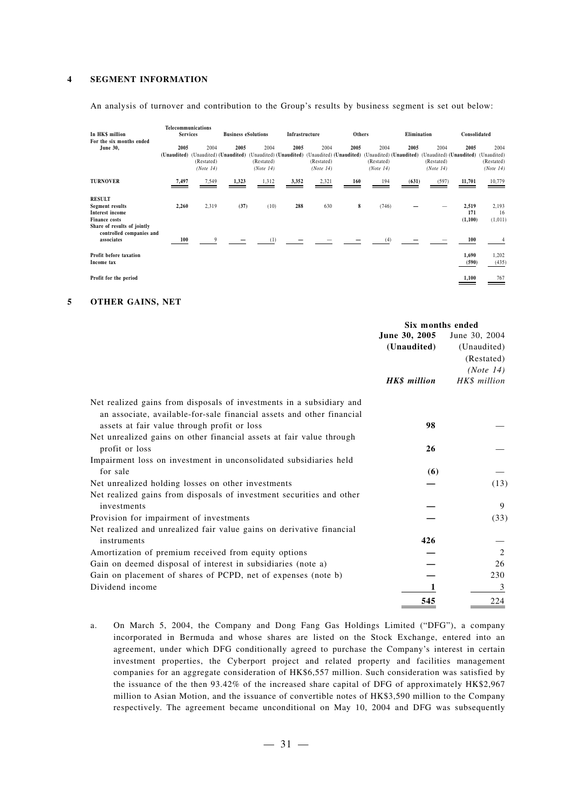#### **4 SEGMENT INFORMATION**

An analysis of turnover and contribution to the Group's results by business segment is set out below:

| In HK\$ million<br>For the six months ended                                                                       | Telecommunications<br><b>Services</b> |                                 | <b>Business eSolutions</b>      |                                                            | Infrastructure |                                                            | Others |                                 | Elimination |                                 | Consolidated                                                        |                                 |
|-------------------------------------------------------------------------------------------------------------------|---------------------------------------|---------------------------------|---------------------------------|------------------------------------------------------------|----------------|------------------------------------------------------------|--------|---------------------------------|-------------|---------------------------------|---------------------------------------------------------------------|---------------------------------|
| June 30,                                                                                                          | 2005<br>(Unaudited)                   | 2004<br>(Restated)<br>(Note 14) | 2005<br>(Unaudited) (Unaudited) | 2004<br>(Unaudited) (Unaudited)<br>(Restated)<br>(Note 14) | 2005           | 2004<br>(Unaudited) (Unaudited)<br>(Restated)<br>(Note 14) | 2005   | 2004<br>(Restated)<br>(Note 14) | 2005        | 2004<br>(Restated)<br>(Note 14) | 2005<br>(Unaudited) (Unaudited) (Unaudited) (Unaudited) (Unaudited) | 2004<br>(Restated)<br>(Note 14) |
| <b>TURNOVER</b>                                                                                                   | 7,497                                 | 7,549                           | 1,323                           | 1,312                                                      | 3,352          | 2,321                                                      | 160    | 194                             | (631)       | (597)                           | 11,701                                                              | 10,779                          |
| <b>RESULT</b><br>Segment results<br><b>Interest income</b><br><b>Finance costs</b><br>Share of results of jointly | 2,260                                 | 2,319                           | (37)                            | (10)                                                       | 288            | 630                                                        | 8      | (746)                           |             |                                 | 2,519<br>171<br>(1,100)                                             | 2,193<br>16<br>(1,011)          |
| controlled companies and<br>associates                                                                            | 100                                   | 9                               |                                 | (1)                                                        |                |                                                            |        | (4)                             |             |                                 | 100                                                                 |                                 |
| Profit before taxation<br>Income tax                                                                              |                                       |                                 |                                 |                                                            |                |                                                            |        |                                 |             |                                 | 1,690<br>(590)                                                      | 1,202<br>(435)                  |
| Profit for the period                                                                                             |                                       |                                 |                                 |                                                            |                |                                                            |        |                                 |             |                                 | 1,100                                                               | 767                             |

#### **5 OTHER GAINS, NET**

|                                                                                                                                               | Six months ended    |               |  |
|-----------------------------------------------------------------------------------------------------------------------------------------------|---------------------|---------------|--|
|                                                                                                                                               | June 30, 2005       | June 30, 2004 |  |
|                                                                                                                                               | (Unaudited)         | (Unaudited)   |  |
|                                                                                                                                               |                     | (Restated)    |  |
|                                                                                                                                               |                     | (Note 14)     |  |
|                                                                                                                                               | <b>HK\$</b> million | HK\$ million  |  |
| Net realized gains from disposals of investments in a subsidiary and<br>an associate, available-for-sale financial assets and other financial |                     |               |  |
| assets at fair value through profit or loss                                                                                                   | 98                  |               |  |
| Net unrealized gains on other financial assets at fair value through                                                                          |                     |               |  |
| profit or loss                                                                                                                                | 26                  |               |  |
| Impairment loss on investment in unconsolidated subsidiaries held                                                                             |                     |               |  |
| for sale                                                                                                                                      | (6)                 |               |  |
| Net unrealized holding losses on other investments                                                                                            |                     | (13)          |  |
| Net realized gains from disposals of investment securities and other                                                                          |                     |               |  |
| investments                                                                                                                                   |                     | 9             |  |
| Provision for impairment of investments                                                                                                       |                     | (33)          |  |
| Net realized and unrealized fair value gains on derivative financial                                                                          |                     |               |  |
| instruments                                                                                                                                   | 426                 |               |  |
| Amortization of premium received from equity options                                                                                          |                     | 2             |  |
| Gain on deemed disposal of interest in subsidiaries (note a)                                                                                  |                     | 26            |  |
| Gain on placement of shares of PCPD, net of expenses (note b)                                                                                 |                     | 230           |  |
| Dividend income                                                                                                                               |                     | 3             |  |
|                                                                                                                                               | 545                 | 224           |  |

a. On March 5, 2004, the Company and Dong Fang Gas Holdings Limited ("DFG"), a company incorporated in Bermuda and whose shares are listed on the Stock Exchange, entered into an agreement, under which DFG conditionally agreed to purchase the Company's interest in certain investment properties, the Cyberport project and related property and facilities management companies for an aggregate consideration of HK\$6,557 million. Such consideration was satisfied by the issuance of the then 93.42% of the increased share capital of DFG of approximately HK\$2,967 million to Asian Motion, and the issuance of convertible notes of HK\$3,590 million to the Company respectively. The agreement became unconditional on May 10, 2004 and DFG was subsequently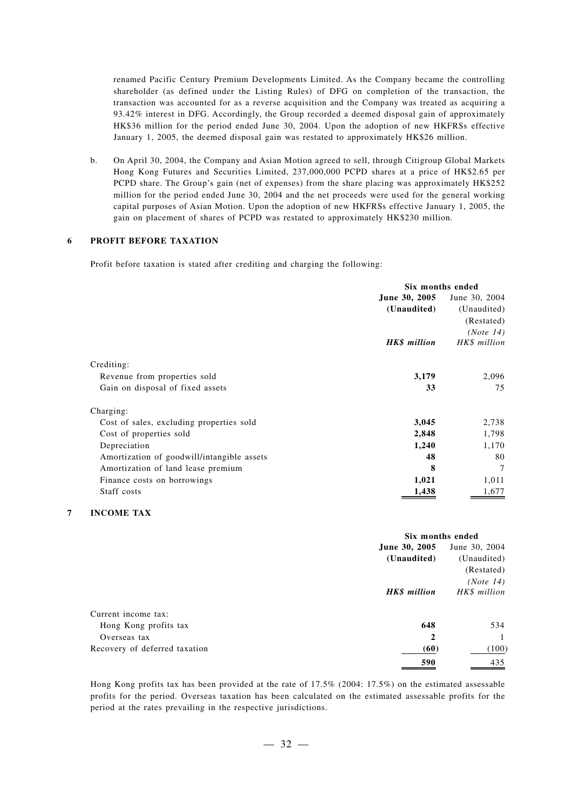renamed Pacific Century Premium Developments Limited. As the Company became the controlling shareholder (as defined under the Listing Rules) of DFG on completion of the transaction, the transaction was accounted for as a reverse acquisition and the Company was treated as acquiring a 93.42% interest in DFG. Accordingly, the Group recorded a deemed disposal gain of approximately HK\$36 million for the period ended June 30, 2004. Upon the adoption of new HKFRSs effective January 1, 2005, the deemed disposal gain was restated to approximately HK\$26 million.

b. On April 30, 2004, the Company and Asian Motion agreed to sell, through Citigroup Global Markets Hong Kong Futures and Securities Limited, 237,000,000 PCPD shares at a price of HK\$2.65 per PCPD share. The Group's gain (net of expenses) from the share placing was approximately HK\$252 million for the period ended June 30, 2004 and the net proceeds were used for the general working capital purposes of Asian Motion. Upon the adoption of new HKFRSs effective January 1, 2005, the gain on placement of shares of PCPD was restated to approximately HK\$230 million.

#### **6 PROFIT BEFORE TAXATION**

Profit before taxation is stated after crediting and charging the following:

|                                            | Six months ended     |               |
|--------------------------------------------|----------------------|---------------|
|                                            | <b>June 30, 2005</b> | June 30, 2004 |
|                                            | (Unaudited)          | (Unaudited)   |
|                                            |                      | (Restated)    |
|                                            |                      | (Note 14)     |
|                                            | HK\$ million         | HK\$ million  |
| Crediting:                                 |                      |               |
| Revenue from properties sold               | 3,179                | 2,096         |
| Gain on disposal of fixed assets           | 33                   | 75            |
| Charging:                                  |                      |               |
| Cost of sales, excluding properties sold   | 3,045                | 2,738         |
| Cost of properties sold                    | 2,848                | 1,798         |
| Depreciation                               | 1,240                | 1,170         |
| Amortization of goodwill/intangible assets | 48                   | 80            |
| Amortization of land lease premium         | 8                    | 7             |
| Finance costs on borrowings                | 1,021                | 1,011         |
| Staff costs                                | 1,438                | 1,677         |
|                                            |                      |               |

#### **7 INCOME TAX**

|                               | Six months ended    |               |  |
|-------------------------------|---------------------|---------------|--|
|                               | June 30, 2005       | June 30, 2004 |  |
|                               | (Unaudited)         | (Unaudited)   |  |
|                               |                     | (Restated)    |  |
|                               |                     | (Note 14)     |  |
|                               | <b>HK\$</b> million | HK\$ million  |  |
| Current income tax:           |                     |               |  |
| Hong Kong profits tax         | 648                 | 534           |  |
| Overseas tax                  | $\mathbf{2}$        |               |  |
| Recovery of deferred taxation | (60)                | (100)         |  |
|                               | 590                 | 435           |  |

Hong Kong profits tax has been provided at the rate of 17.5% (2004: 17.5%) on the estimated assessable profits for the period. Overseas taxation has been calculated on the estimated assessable profits for the period at the rates prevailing in the respective jurisdictions.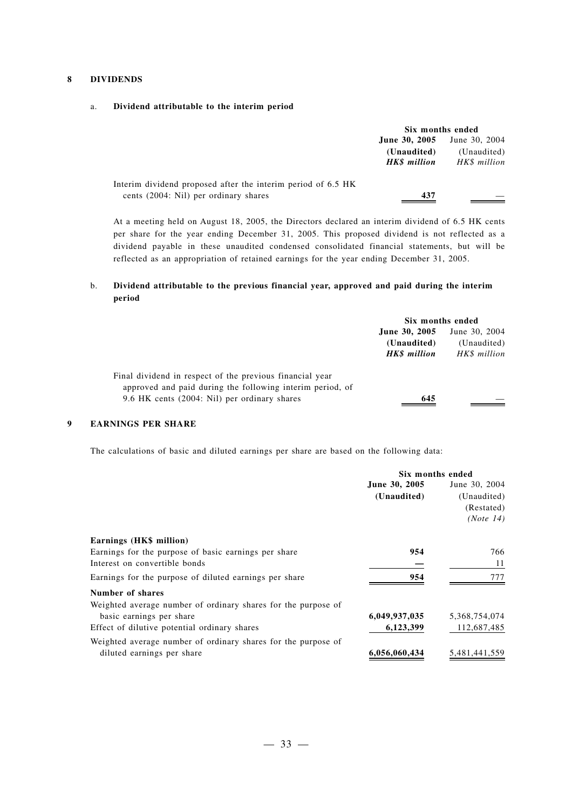#### **8 DIVIDENDS**

#### a. **Dividend attributable to the interim period**

|                                                              | Six months ended                                   |                                              |  |
|--------------------------------------------------------------|----------------------------------------------------|----------------------------------------------|--|
|                                                              | June 30, 2005<br>(Unaudited)<br><b>HKS</b> million | June 30, 2004<br>(Unaudited)<br>HK\$ million |  |
| Interim dividend proposed after the interim period of 6.5 HK |                                                    |                                              |  |
| cents (2004: Nil) per ordinary shares                        | 437                                                |                                              |  |

At a meeting held on August 18, 2005, the Directors declared an interim dividend of 6.5 HK cents per share for the year ending December 31, 2005. This proposed dividend is not reflected as a dividend payable in these unaudited condensed consolidated financial statements, but will be reflected as an appropriation of retained earnings for the year ending December 31, 2005.

#### b. **Dividend attributable to the previous financial year, approved and paid during the interim period**

|                                                                                                                       | Six months ended   |               |  |
|-----------------------------------------------------------------------------------------------------------------------|--------------------|---------------|--|
|                                                                                                                       | June 30, 2005      | June 30, 2004 |  |
|                                                                                                                       | (Unaudited)        | (Unaudited)   |  |
|                                                                                                                       | <b>HKS</b> million | HK\$ million  |  |
| Final dividend in respect of the previous financial year<br>approved and paid during the following interim period, of |                    |               |  |
| 9.6 HK cents (2004: Nil) per ordinary shares                                                                          | 645                |               |  |

#### **9 EARNINGS PER SHARE**

The calculations of basic and diluted earnings per share are based on the following data:

|                                                               | Six months ended |               |
|---------------------------------------------------------------|------------------|---------------|
|                                                               | June 30, 2005    | June 30, 2004 |
|                                                               | (Unaudited)      | (Unaudited)   |
|                                                               |                  | (Restated)    |
|                                                               |                  | (Note 14)     |
| Earnings (HK\$ million)                                       |                  |               |
| Earnings for the purpose of basic earnings per share          | 954              | 766           |
| Interest on convertible bonds                                 |                  | 11            |
| Earnings for the purpose of diluted earnings per share        | 954              | 777           |
| Number of shares                                              |                  |               |
| Weighted average number of ordinary shares for the purpose of |                  |               |
| basic earnings per share                                      | 6,049,937,035    | 5,368,754,074 |
| Effect of dilutive potential ordinary shares                  | 6,123,399        | 112,687,485   |
| Weighted average number of ordinary shares for the purpose of |                  |               |
| diluted earnings per share                                    | 6,056,060,434    | 5,481,441,559 |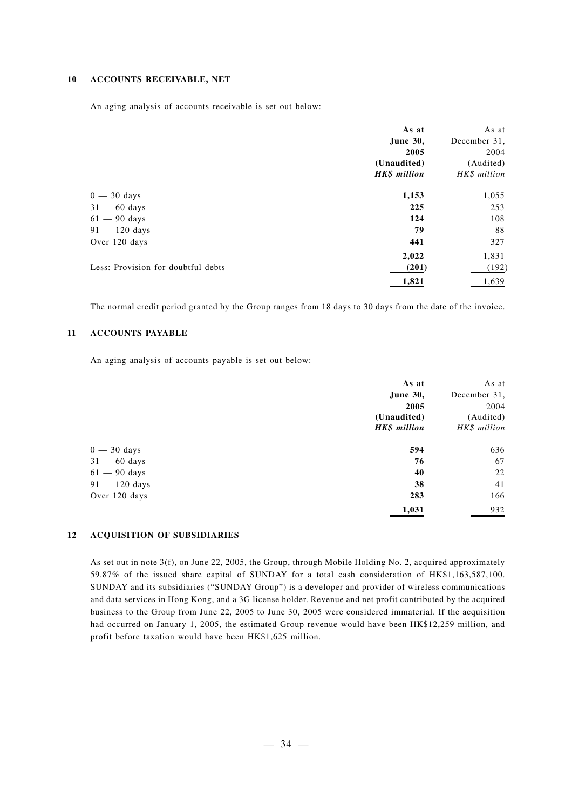#### **10 ACCOUNTS RECEIVABLE, NET**

An aging analysis of accounts receivable is set out below:

|                                    | As at               | As at        |
|------------------------------------|---------------------|--------------|
|                                    | <b>June 30,</b>     | December 31, |
|                                    | 2005                | 2004         |
|                                    | (Unaudited)         | (Audited)    |
|                                    | <b>HK\$</b> million | HK\$ million |
| $0 - 30$ days                      | 1,153               | 1,055        |
| $31 - 60$ days                     | 225                 | 253          |
| $61 - 90$ days                     | 124                 | 108          |
| $91 - 120$ days                    | 79                  | 88           |
| Over 120 days                      | 441                 | 327          |
|                                    | 2,022               | 1,831        |
| Less: Provision for doubtful debts | (201)               | (192)        |
|                                    | 1,821               | 1,639        |

The normal credit period granted by the Group ranges from 18 days to 30 days from the date of the invoice.

### **11 ACCOUNTS PAYABLE**

An aging analysis of accounts payable is set out below:

|                 | As at           | As at        |
|-----------------|-----------------|--------------|
|                 | <b>June 30,</b> | December 31, |
|                 | 2005            | 2004         |
|                 | (Unaudited)     | (Audited)    |
|                 | HK\$ million    | HK\$ million |
| $0 - 30$ days   | 594             | 636          |
| $31 - 60$ days  | 76              | 67           |
| $61 - 90$ days  | 40              | 22           |
| $91 - 120$ days | 38              | 41           |
| Over 120 days   | 283             | 166          |
|                 | 1,031           | 932          |

#### **12 ACQUISITION OF SUBSIDIARIES**

As set out in note 3(f), on June 22, 2005, the Group, through Mobile Holding No. 2, acquired approximately 59.87% of the issued share capital of SUNDAY for a total cash consideration of HK\$1,163,587,100. SUNDAY and its subsidiaries ("SUNDAY Group") is a developer and provider of wireless communications and data services in Hong Kong, and a 3G license holder. Revenue and net profit contributed by the acquired business to the Group from June 22, 2005 to June 30, 2005 were considered immaterial. If the acquisition had occurred on January 1, 2005, the estimated Group revenue would have been HK\$12,259 million, and profit before taxation would have been HK\$1,625 million.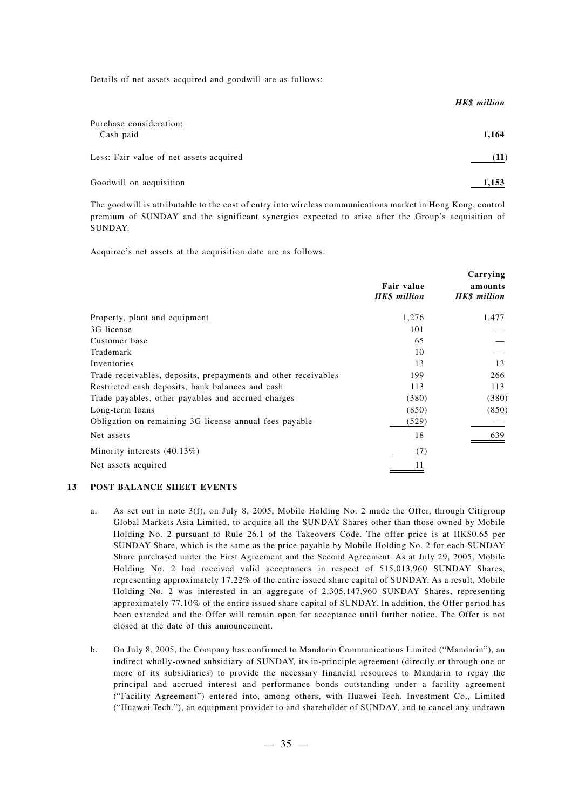Details of net assets acquired and goodwill are as follows:

|                                         | HK\$ million |
|-----------------------------------------|--------------|
| Purchase consideration:<br>Cash paid    | 1,164        |
| Less: Fair value of net assets acquired | (11)         |
| Goodwill on acquisition                 | 1,153        |

The goodwill is attributable to the cost of entry into wireless communications market in Hong Kong, control premium of SUNDAY and the significant synergies expected to arise after the Group's acquisition of SUNDAY.

Acquiree's net assets at the acquisition date are as follows:

|                                                                | Fair value<br>HK\$ million | Carrying<br>amounts<br><b>HK\$</b> million |
|----------------------------------------------------------------|----------------------------|--------------------------------------------|
| Property, plant and equipment                                  | 1,276                      | 1,477                                      |
| 3G license                                                     | 101                        |                                            |
| Customer base                                                  | 65                         |                                            |
| Trademark                                                      | 10                         |                                            |
| Inventories                                                    | 13                         | 13                                         |
| Trade receivables, deposits, prepayments and other receivables | 199                        | 266                                        |
| Restricted cash deposits, bank balances and cash               | 113                        | 113                                        |
| Trade payables, other payables and accrued charges             | (380)                      | (380)                                      |
| Long-term loans                                                | (850)                      | (850)                                      |
| Obligation on remaining 3G license annual fees payable         | (529)                      |                                            |
| Net assets                                                     | 18                         | 639                                        |
| Minority interests $(40.13\%)$                                 | (7)                        |                                            |
| Net assets acquired                                            |                            |                                            |

#### **13 POST BALANCE SHEET EVENTS**

- a. As set out in note 3(f), on July 8, 2005, Mobile Holding No. 2 made the Offer, through Citigroup Global Markets Asia Limited, to acquire all the SUNDAY Shares other than those owned by Mobile Holding No. 2 pursuant to Rule 26.1 of the Takeovers Code. The offer price is at HK\$0.65 per SUNDAY Share, which is the same as the price payable by Mobile Holding No. 2 for each SUNDAY Share purchased under the First Agreement and the Second Agreement. As at July 29, 2005, Mobile Holding No. 2 had received valid acceptances in respect of 515,013,960 SUNDAY Shares, representing approximately 17.22% of the entire issued share capital of SUNDAY. As a result, Mobile Holding No. 2 was interested in an aggregate of 2,305,147,960 SUNDAY Shares, representing approximately 77.10% of the entire issued share capital of SUNDAY. In addition, the Offer period has been extended and the Offer will remain open for acceptance until further notice. The Offer is not closed at the date of this announcement.
- b. On July 8, 2005, the Company has confirmed to Mandarin Communications Limited ("Mandarin"), an indirect wholly-owned subsidiary of SUNDAY, its in-principle agreement (directly or through one or more of its subsidiaries) to provide the necessary financial resources to Mandarin to repay the principal and accrued interest and performance bonds outstanding under a facility agreement ("Facility Agreement") entered into, among others, with Huawei Tech. Investment Co., Limited ("Huawei Tech."), an equipment provider to and shareholder of SUNDAY, and to cancel any undrawn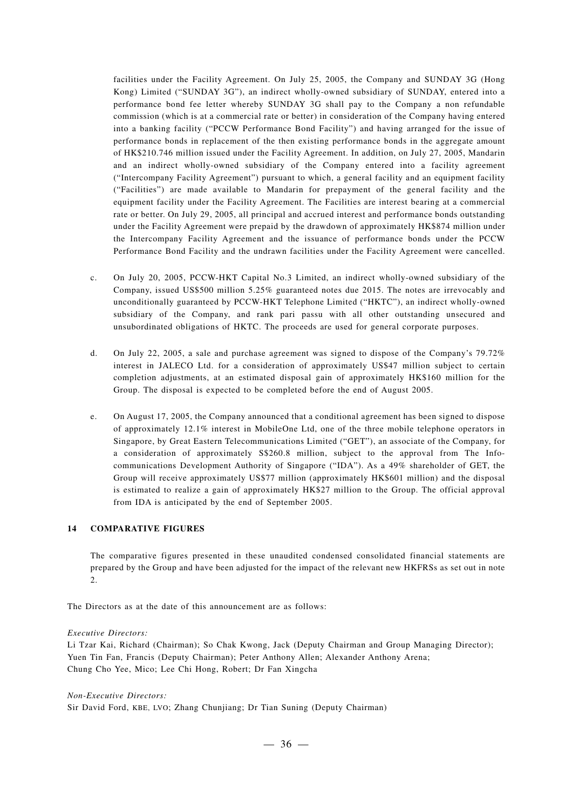facilities under the Facility Agreement. On July 25, 2005, the Company and SUNDAY 3G (Hong Kong) Limited ("SUNDAY 3G"), an indirect wholly-owned subsidiary of SUNDAY, entered into a performance bond fee letter whereby SUNDAY 3G shall pay to the Company a non refundable commission (which is at a commercial rate or better) in consideration of the Company having entered into a banking facility ("PCCW Performance Bond Facility") and having arranged for the issue of performance bonds in replacement of the then existing performance bonds in the aggregate amount of HK\$210.746 million issued under the Facility Agreement. In addition, on July 27, 2005, Mandarin and an indirect wholly-owned subsidiary of the Company entered into a facility agreement ("Intercompany Facility Agreement") pursuant to which, a general facility and an equipment facility ("Facilities") are made available to Mandarin for prepayment of the general facility and the equipment facility under the Facility Agreement. The Facilities are interest bearing at a commercial rate or better. On July 29, 2005, all principal and accrued interest and performance bonds outstanding under the Facility Agreement were prepaid by the drawdown of approximately HK\$874 million under the Intercompany Facility Agreement and the issuance of performance bonds under the PCCW Performance Bond Facility and the undrawn facilities under the Facility Agreement were cancelled.

- c. On July 20, 2005, PCCW-HKT Capital No.3 Limited, an indirect wholly-owned subsidiary of the Company, issued US\$500 million 5.25% guaranteed notes due 2015. The notes are irrevocably and unconditionally guaranteed by PCCW-HKT Telephone Limited ("HKTC"), an indirect wholly-owned subsidiary of the Company, and rank pari passu with all other outstanding unsecured and unsubordinated obligations of HKTC. The proceeds are used for general corporate purposes.
- d. On July 22, 2005, a sale and purchase agreement was signed to dispose of the Company's 79.72% interest in JALECO Ltd. for a consideration of approximately US\$47 million subject to certain completion adjustments, at an estimated disposal gain of approximately HK\$160 million for the Group. The disposal is expected to be completed before the end of August 2005.
- e. On August 17, 2005, the Company announced that a conditional agreement has been signed to dispose of approximately 12.1% interest in MobileOne Ltd, one of the three mobile telephone operators in Singapore, by Great Eastern Telecommunications Limited ("GET"), an associate of the Company, for a consideration of approximately S\$260.8 million, subject to the approval from The Infocommunications Development Authority of Singapore ("IDA"). As a 49% shareholder of GET, the Group will receive approximately US\$77 million (approximately HK\$601 million) and the disposal is estimated to realize a gain of approximately HK\$27 million to the Group. The official approval from IDA is anticipated by the end of September 2005.

#### **14 COMPARATIVE FIGURES**

The comparative figures presented in these unaudited condensed consolidated financial statements are prepared by the Group and have been adjusted for the impact of the relevant new HKFRSs as set out in note 2.

The Directors as at the date of this announcement are as follows:

#### *Executive Directors:*

Li Tzar Kai, Richard (Chairman); So Chak Kwong, Jack (Deputy Chairman and Group Managing Director); Yuen Tin Fan, Francis (Deputy Chairman); Peter Anthony Allen; Alexander Anthony Arena; Chung Cho Yee, Mico; Lee Chi Hong, Robert; Dr Fan Xingcha

*Non-Executive Directors:*

Sir David Ford, KBE, LVO; Zhang Chunjiang; Dr Tian Suning (Deputy Chairman)